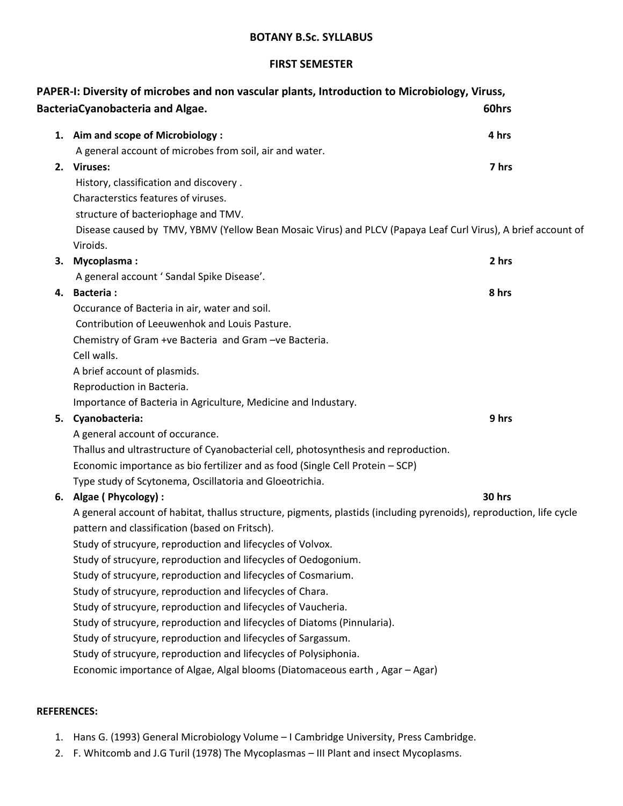#### **FIRST SEMESTER**

|    | PAPER-I: Diversity of microbes and non vascular plants, Introduction to Microbiology, Viruss,                       |        |
|----|---------------------------------------------------------------------------------------------------------------------|--------|
|    | <b>BacteriaCyanobacteria and Algae.</b>                                                                             | 60hrs  |
|    | 1. Aim and scope of Microbiology :                                                                                  | 4 hrs  |
|    | A general account of microbes from soil, air and water.                                                             |        |
|    | 2. Viruses:                                                                                                         | 7 hrs  |
|    | History, classification and discovery.                                                                              |        |
|    | Characterstics features of viruses.                                                                                 |        |
|    | structure of bacteriophage and TMV.                                                                                 |        |
|    | Disease caused by TMV, YBMV (Yellow Bean Mosaic Virus) and PLCV (Papaya Leaf Curl Virus), A brief account of        |        |
|    | Viroids.                                                                                                            |        |
| 3. | <b>Mycoplasma:</b>                                                                                                  | 2 hrs  |
|    | A general account ' Sandal Spike Disease'.                                                                          |        |
|    | 4. Bacteria:                                                                                                        | 8 hrs  |
|    | Occurance of Bacteria in air, water and soil.                                                                       |        |
|    | Contribution of Leeuwenhok and Louis Pasture.                                                                       |        |
|    | Chemistry of Gram +ve Bacteria and Gram -ve Bacteria.                                                               |        |
|    | Cell walls.                                                                                                         |        |
|    | A brief account of plasmids.                                                                                        |        |
|    | Reproduction in Bacteria.                                                                                           |        |
|    | Importance of Bacteria in Agriculture, Medicine and Industary.                                                      |        |
| 5. | Cyanobacteria:                                                                                                      | 9 hrs  |
|    | A general account of occurance.                                                                                     |        |
|    | Thallus and ultrastructure of Cyanobacterial cell, photosynthesis and reproduction.                                 |        |
|    | Economic importance as bio fertilizer and as food (Single Cell Protein - SCP)                                       |        |
|    | Type study of Scytonema, Oscillatoria and Gloeotrichia.                                                             |        |
|    | 6. Algae (Phycology):                                                                                               | 30 hrs |
|    | A general account of habitat, thallus structure, pigments, plastids (including pyrenoids), reproduction, life cycle |        |
|    | pattern and classification (based on Fritsch).                                                                      |        |
|    | Study of strucyure, reproduction and lifecycles of Volvox.                                                          |        |
|    | Study of strucyure, reproduction and lifecycles of Oedogonium.                                                      |        |
|    | Study of strucyure, reproduction and lifecycles of Cosmarium.                                                       |        |
|    | Study of strucyure, reproduction and lifecycles of Chara.                                                           |        |
|    | Study of strucyure, reproduction and lifecycles of Vaucheria.                                                       |        |
|    | Study of strucyure, reproduction and lifecycles of Diatoms (Pinnularia).                                            |        |
|    | Study of strucyure, reproduction and lifecycles of Sargassum.                                                       |        |
|    | Study of strucyure, reproduction and lifecycles of Polysiphonia.                                                    |        |
|    | Economic importance of Algae, Algal blooms (Diatomaceous earth, Agar - Agar)                                        |        |
|    |                                                                                                                     |        |

# **REFERENCES:**

- 1. Hans G. (1993) General Microbiology Volume I Cambridge University, Press Cambridge.
- 2. F. Whitcomb and J.G Turil (1978) The Mycoplasmas III Plant and insect Mycoplasms.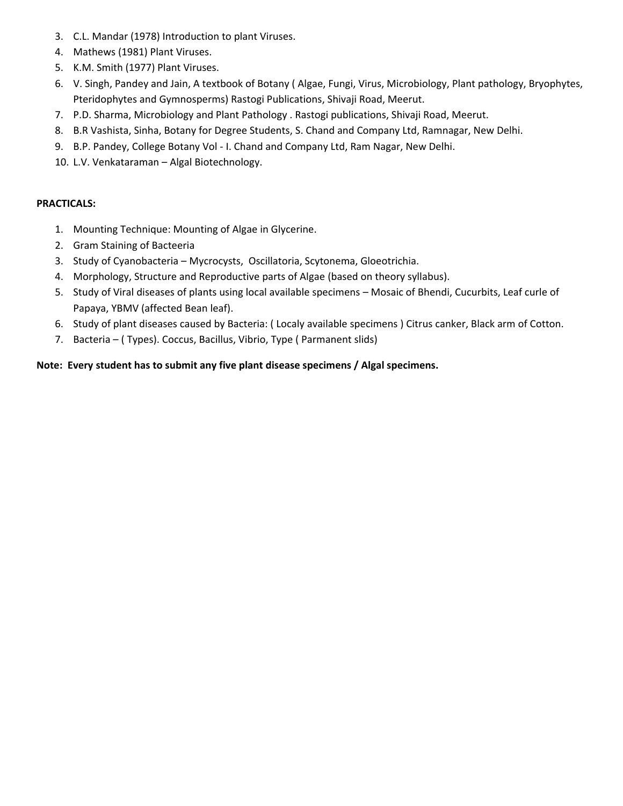- 3. C.L. Mandar (1978) Introduction to plant Viruses.
- 4. Mathews (1981) Plant Viruses.
- 5. K.M. Smith (1977) Plant Viruses.
- 6. V. Singh, Pandey and Jain, A textbook of Botany ( Algae, Fungi, Virus, Microbiology, Plant pathology, Bryophytes, Pteridophytes and Gymnosperms) Rastogi Publications, Shivaji Road, Meerut.
- 7. P.D. Sharma, Microbiology and Plant Pathology . Rastogi publications, Shivaji Road, Meerut.
- 8. B.R Vashista, Sinha, Botany for Degree Students, S. Chand and Company Ltd, Ramnagar, New Delhi.
- 9. B.P. Pandey, College Botany Vol I. Chand and Company Ltd, Ram Nagar, New Delhi.
- 10. L.V. Venkataraman Algal Biotechnology.

#### **PRACTICALS:**

- 1. Mounting Technique: Mounting of Algae in Glycerine.
- 2. Gram Staining of Bacteeria
- 3. Study of Cyanobacteria Mycrocysts, Oscillatoria, Scytonema, Gloeotrichia.
- 4. Morphology, Structure and Reproductive parts of Algae (based on theory syllabus).
- 5. Study of Viral diseases of plants using local available specimens Mosaic of Bhendi, Cucurbits, Leaf curle of Papaya, YBMV (affected Bean leaf).
- 6. Study of plant diseases caused by Bacteria: ( Localy available specimens ) Citrus canker, Black arm of Cotton.
- 7. Bacteria ( Types). Coccus, Bacillus, Vibrio, Type ( Parmanent slids)

#### **Note: Every student has to submit any five plant disease specimens / Algal specimens.**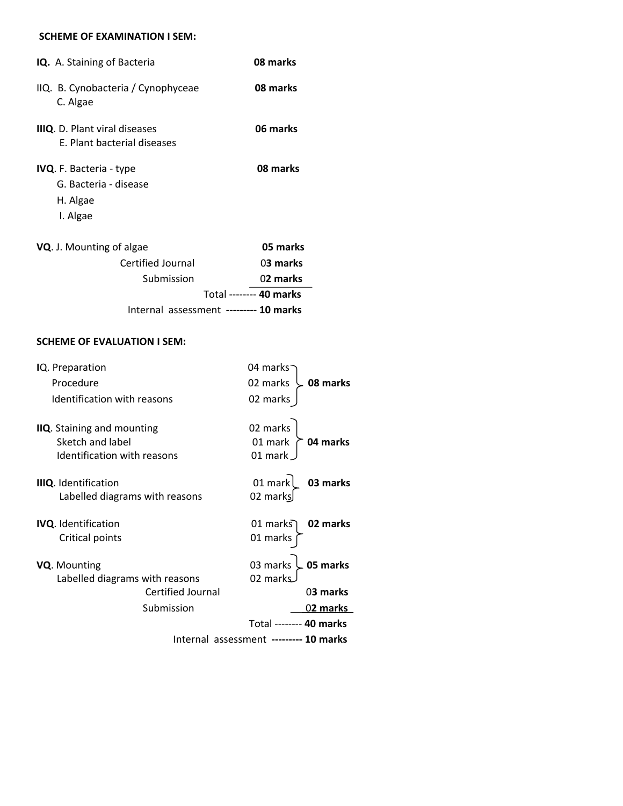#### **SCHEME OF EXAMINATION I SEM:**

| IQ. A. Staining of Bacteria                                                     | 08 marks                |
|---------------------------------------------------------------------------------|-------------------------|
| IIQ. B. Cynobacteria / Cynophyceae<br>C. Algae                                  | 08 marks                |
| <b>IIIQ.</b> D. Plant viral diseases<br>E. Plant bacterial diseases             | 06 marks                |
| <b>IVQ.</b> F. Bacteria - type<br>G. Bacteria - disease<br>H. Algae<br>I. Algae | 08 marks                |
| VQ. J. Mounting of algae                                                        | 05 marks                |
| <b>Certified Journal</b>                                                        | 03 marks                |
| Submission                                                                      | 02 marks                |
|                                                                                 | Total -------- 40 marks |
| Internal assessment --------- 10 marks                                          |                         |

#### **SCHEME OF EVALUATION I SEM:**

| IQ. Preparation                                                                      | 04 marks                                   |
|--------------------------------------------------------------------------------------|--------------------------------------------|
| Procedure                                                                            | 02 marks<br>08 marks                       |
| Identification with reasons                                                          | 02 marks                                   |
| <b>IIQ.</b> Staining and mounting<br>Sketch and label<br>Identification with reasons | 02 marks<br>01 mark<br>04 marks<br>01 mark |
| <b>IIIQ.</b> Identification<br>Labelled diagrams with reasons                        | 01 mark<br>03 marks<br>02 marks            |
| <b>IVQ.</b> Identification<br>Critical points                                        | 02 marks<br>01 markรา<br>01 marks          |
| VQ. Mounting<br>Labelled diagrams with reasons                                       | 05 marks<br>03 marks<br>02 marks           |
| Certified Journal                                                                    | 03 marks                                   |
| Submission                                                                           | 0 <b>2 marks</b>                           |
|                                                                                      | Total -------- 40 marks                    |
|                                                                                      | Internal assessment --------- 10 marks     |
|                                                                                      |                                            |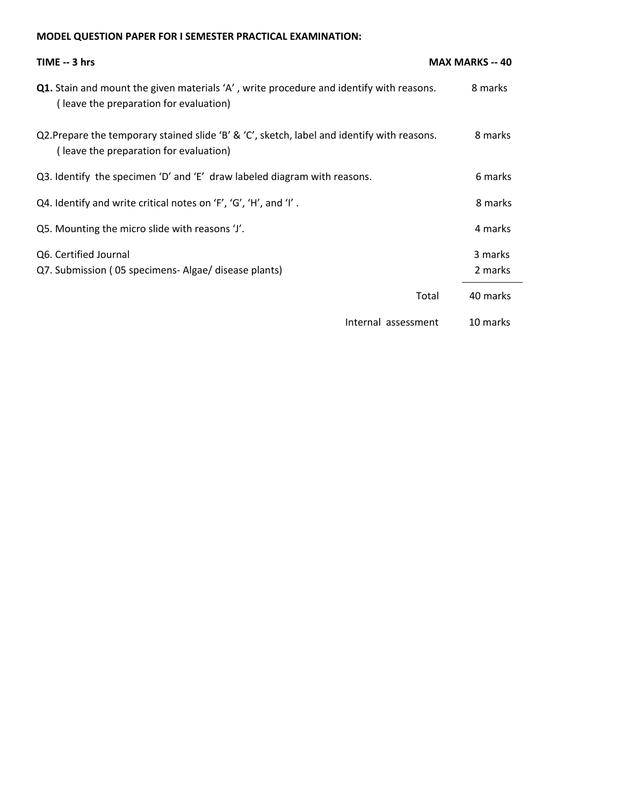# **MODEL QUESTION PAPER FOR I SEMESTER PRACTICAL EXAMINATION:**

| TIME -- 3 hrs                                                                                                                            | <b>MAX MARKS -- 40</b> |
|------------------------------------------------------------------------------------------------------------------------------------------|------------------------|
| <b>Q1.</b> Stain and mount the given materials 'A', write procedure and identify with reasons.<br>(leave the preparation for evaluation) | 8 marks                |
| Q2. Prepare the temporary stained slide 'B' & 'C', sketch, label and identify with reasons.<br>(leave the preparation for evaluation)    | 8 marks                |
| Q3. Identify the specimen 'D' and 'E' draw labeled diagram with reasons.                                                                 | 6 marks                |
| Q4. Identify and write critical notes on 'F', 'G', 'H', and 'I'.                                                                         | 8 marks                |
| Q5. Mounting the micro slide with reasons 'J'.                                                                                           | 4 marks                |
| Q6. Certified Journal<br>Q7. Submission (05 specimens- Algae/ disease plants)                                                            | 3 marks<br>2 marks     |
| Total                                                                                                                                    | 40 marks               |
| Internal assessment                                                                                                                      | 10 marks               |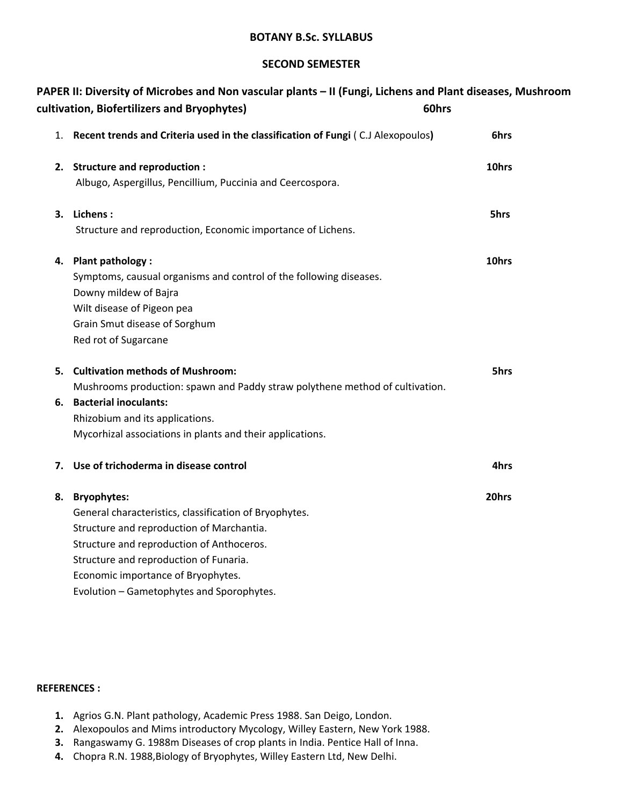#### **SECOND SEMESTER**

|    | PAPER II: Diversity of Microbes and Non vascular plants – II (Fungi, Lichens and Plant diseases, Mushroom<br>cultivation, Biofertilizers and Bryophytes) | 60hrs |
|----|----------------------------------------------------------------------------------------------------------------------------------------------------------|-------|
| 1. | Recent trends and Criteria used in the classification of Fungi (C.J Alexopoulos)                                                                         | 6hrs  |
|    | 2. Structure and reproduction :                                                                                                                          | 10hrs |
|    | Albugo, Aspergillus, Pencillium, Puccinia and Ceercospora.                                                                                               |       |
|    | 3. Lichens:                                                                                                                                              | 5hrs  |
|    | Structure and reproduction, Economic importance of Lichens.                                                                                              |       |
| 4. | Plant pathology :                                                                                                                                        | 10hrs |
|    | Symptoms, causual organisms and control of the following diseases.                                                                                       |       |
|    | Downy mildew of Bajra                                                                                                                                    |       |
|    | Wilt disease of Pigeon pea                                                                                                                               |       |
|    | Grain Smut disease of Sorghum                                                                                                                            |       |
|    | Red rot of Sugarcane                                                                                                                                     |       |
|    | 5. Cultivation methods of Mushroom:                                                                                                                      | 5hrs  |
|    | Mushrooms production: spawn and Paddy straw polythene method of cultivation.                                                                             |       |
|    | 6. Bacterial inoculants:                                                                                                                                 |       |
|    | Rhizobium and its applications.                                                                                                                          |       |
|    | Mycorhizal associations in plants and their applications.                                                                                                |       |
| 7. | Use of trichoderma in disease control                                                                                                                    | 4hrs  |
| 8. | <b>Bryophytes:</b>                                                                                                                                       | 20hrs |
|    | General characteristics, classification of Bryophytes.                                                                                                   |       |
|    | Structure and reproduction of Marchantia.                                                                                                                |       |
|    | Structure and reproduction of Anthoceros.                                                                                                                |       |
|    | Structure and reproduction of Funaria.                                                                                                                   |       |
|    | Economic importance of Bryophytes.                                                                                                                       |       |
|    | Evolution - Gametophytes and Sporophytes.                                                                                                                |       |

#### **REFERENCES :**

- **1.** Agrios G.N. Plant pathology, Academic Press 1988. San Deigo, London.
- **2.** Alexopoulos and Mims introductory Mycology, Willey Eastern, New York 1988.
- **3.** Rangaswamy G. 1988m Diseases of crop plants in India. Pentice Hall of Inna.
- **4.** Chopra R.N. 1988,Biology of Bryophytes, Willey Eastern Ltd, New Delhi.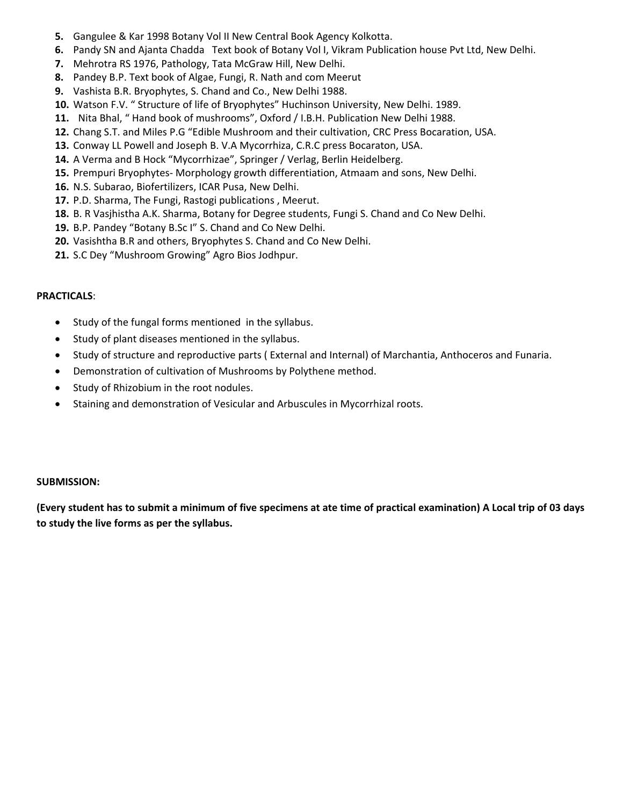- **5.** Gangulee & Kar 1998 Botany Vol II New Central Book Agency Kolkotta.
- **6.** Pandy SN and Ajanta Chadda Text book of Botany Vol I, Vikram Publication house Pvt Ltd, New Delhi.
- **7.** Mehrotra RS 1976, Pathology, Tata McGraw Hill, New Delhi.
- **8.** Pandey B.P. Text book of Algae, Fungi, R. Nath and com Meerut
- **9.** Vashista B.R. Bryophytes, S. Chand and Co., New Delhi 1988.
- **10.** Watson F.V. " Structure of life of Bryophytes" Huchinson University, New Delhi. 1989.
- **11.** Nita Bhal, " Hand book of mushrooms", Oxford / I.B.H. Publication New Delhi 1988.
- **12.** Chang S.T. and Miles P.G "Edible Mushroom and their cultivation, CRC Press Bocaration, USA.
- **13.** Conway LL Powell and Joseph B. V.A Mycorrhiza, C.R.C press Bocaraton, USA.
- **14.** A Verma and B Hock "Mycorrhizae", Springer / Verlag, Berlin Heidelberg.
- **15.** Prempuri Bryophytes- Morphology growth differentiation, Atmaam and sons, New Delhi.
- **16.** N.S. Subarao, Biofertilizers, ICAR Pusa, New Delhi.
- **17.** P.D. Sharma, The Fungi, Rastogi publications , Meerut.
- **18.** B. R Vasjhistha A.K. Sharma, Botany for Degree students, Fungi S. Chand and Co New Delhi.
- **19.** B.P. Pandey "Botany B.Sc I" S. Chand and Co New Delhi.
- **20.** Vasishtha B.R and others, Bryophytes S. Chand and Co New Delhi.
- **21.** S.C Dey "Mushroom Growing" Agro Bios Jodhpur.

#### **PRACTICALS**:

- Study of the fungal forms mentioned in the syllabus.
- Study of plant diseases mentioned in the syllabus.
- Study of structure and reproductive parts ( External and Internal) of Marchantia, Anthoceros and Funaria.
- Demonstration of cultivation of Mushrooms by Polythene method.
- Study of Rhizobium in the root nodules.
- Staining and demonstration of Vesicular and Arbuscules in Mycorrhizal roots.

#### **SUBMISSION:**

**(Every student has to submit a minimum of five specimens at ate time of practical examination) A Local trip of 03 days to study the live forms as per the syllabus.**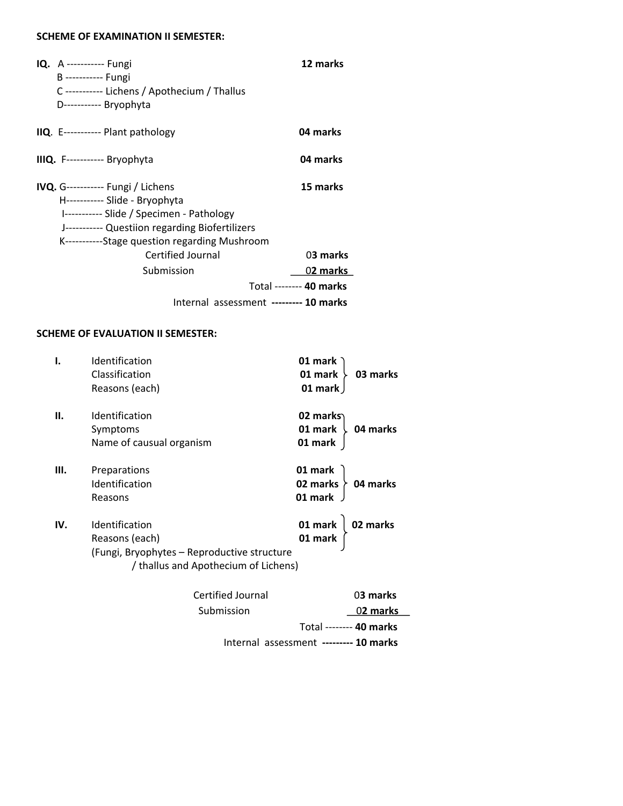#### **SCHEME OF EXAMINATION II SEMESTER:**

| <b>IQ.</b> A ----------- Fungi<br>B ----------- Fungi<br>C ----------- Lichens / Apothecium / Thallus<br>D----------- Bryophyta                                                                                              | 12 marks                |
|------------------------------------------------------------------------------------------------------------------------------------------------------------------------------------------------------------------------------|-------------------------|
| IIQ. E----------- Plant pathology                                                                                                                                                                                            | 04 marks                |
| IIIQ. F----------- Bryophyta                                                                                                                                                                                                 | 04 marks                |
| <b>IVQ.</b> G----------- Fungi / Lichens<br>H----------- Slide - Bryophyta<br>I----------- Slide / Specimen - Pathology<br>J----------- Questiion regarding Biofertilizers<br>K------------Stage question regarding Mushroom | 15 marks                |
| Certified Journal                                                                                                                                                                                                            | 03 marks                |
| Submission                                                                                                                                                                                                                   | 0 <b>2 marks</b>        |
|                                                                                                                                                                                                                              | Total -------- 40 marks |
| Internal assessment --------- 10 marks                                                                                                                                                                                       |                         |

#### **SCHEME OF EVALUATION II SEMESTER:**

|     | Identification                              | 01 mark                  |
|-----|---------------------------------------------|--------------------------|
|     | Classification                              | 01 mark<br>03 marks      |
|     | Reasons (each)                              | 01 mark                  |
| н.  | Identification                              | 02 marks                 |
|     | Symptoms                                    | 01 mark<br>04 marks      |
|     | Name of causual organism                    | 01 mark                  |
| Ш.  | Preparations                                | 01 mark                  |
|     | Identification                              | 02 marks $\geq$ 04 marks |
|     | Reasons                                     | 01 mark                  |
| IV. | <b>Identification</b>                       | 02 marks                 |
|     | Reasons (each)                              | 01 mark $ $<br>01 mark   |
|     | (Fungi, Bryophytes - Reproductive structure |                          |
|     | / thallus and Apothecium of Lichens)        |                          |
|     | Certified Journal                           | 03 marks                 |
|     |                                             |                          |

 Submission 0**2 marks** Total -------- **40 marks** Internal assessment **--------- 10 marks**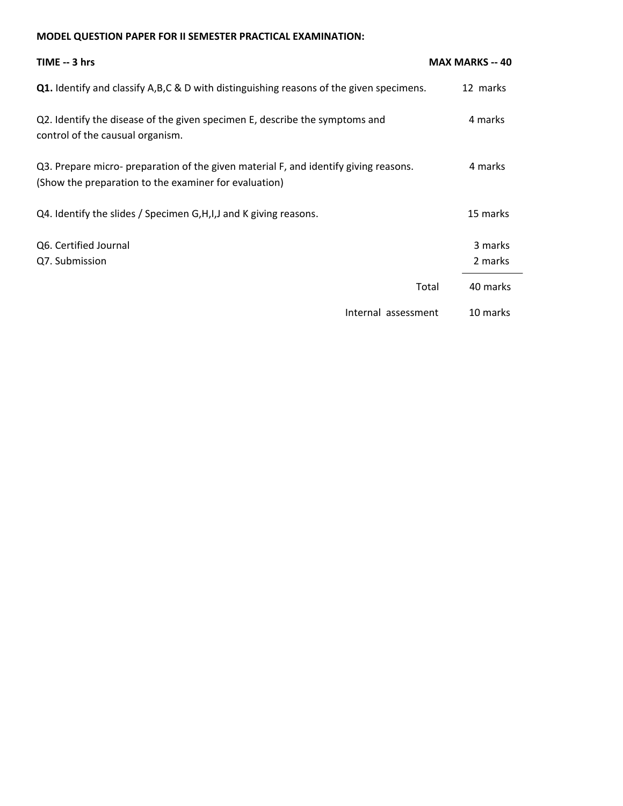#### **MODEL QUESTION PAPER FOR II SEMESTER PRACTICAL EXAMINATION:**

| TIME -- 3 hrs                                                                                                                                 | <b>MAX MARKS -- 40</b> |
|-----------------------------------------------------------------------------------------------------------------------------------------------|------------------------|
| Q1. Identify and classify A,B,C & D with distinguishing reasons of the given specimens.                                                       | 12 marks               |
| Q2. Identify the disease of the given specimen E, describe the symptoms and<br>control of the causual organism.                               | 4 marks                |
| Q3. Prepare micro- preparation of the given material F, and identify giving reasons.<br>(Show the preparation to the examiner for evaluation) | 4 marks                |
| Q4. Identify the slides / Specimen G, H, I, J and K giving reasons.                                                                           | 15 marks               |
| Q6. Certified Journal<br>Q7. Submission                                                                                                       | 3 marks<br>2 marks     |
|                                                                                                                                               | 40 marks<br>Total      |
| Internal assessment                                                                                                                           | 10 marks               |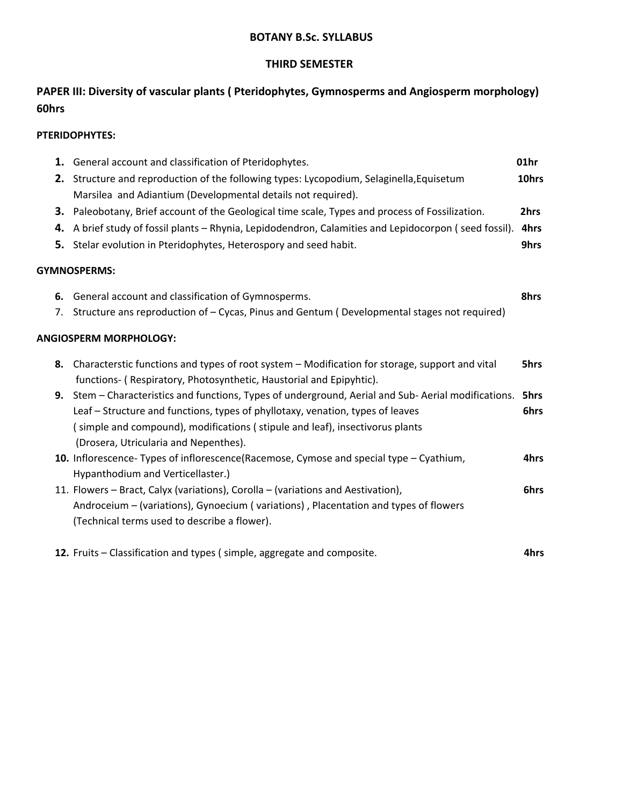# **THIRD SEMESTER**

# **PAPER III: Diversity of vascular plants ( Pteridophytes, Gymnosperms and Angiosperm morphology) 60hrs**

#### **PTERIDOPHYTES:**

|    | 1. General account and classification of Pteridophytes.                                                               | 01hr  |
|----|-----------------------------------------------------------------------------------------------------------------------|-------|
|    | 2. Structure and reproduction of the following types: Lycopodium, Selaginella, Equisetum                              | 10hrs |
|    | Marsilea and Adiantium (Developmental details not required).                                                          |       |
| З. | Paleobotany, Brief account of the Geological time scale, Types and process of Fossilization.                          | 2hrs  |
| 4. | A brief study of fossil plants - Rhynia, Lepidodendron, Calamities and Lepidocorpon (seed fossil).                    | 4hrs  |
| 5. | Stelar evolution in Pteridophytes, Heterospory and seed habit.                                                        | 9hrs  |
|    | <b>GYMNOSPERMS:</b>                                                                                                   |       |
| 6. | General account and classification of Gymnosperms.                                                                    | 8hrs  |
| 7. | Structure ans reproduction of - Cycas, Pinus and Gentum (Developmental stages not required)                           |       |
|    | ANGIOSPERM MORPHOLOGY:                                                                                                |       |
| 8. | Characterstic functions and types of root system – Modification for storage, support and vital                        | 5hrs  |
|    | functions- (Respiratory, Photosynthetic, Haustorial and Epipyhtic).                                                   |       |
| 9. | Stem – Characteristics and functions, Types of underground, Aerial and Sub-Aerial modifications.                      | 5hrs  |
|    | Leaf - Structure and functions, types of phyllotaxy, venation, types of leaves                                        | 6hrs  |
|    | (simple and compound), modifications (stipule and leaf), insectivorus plants<br>(Drosera, Utricularia and Nepenthes). |       |
|    | 10. Inflorescence-Types of inflorescence(Racemose, Cymose and special type - Cyathium,                                | 4hrs  |
|    | Hypanthodium and Verticellaster.)                                                                                     |       |
|    | 11. Flowers – Bract, Calyx (variations), Corolla – (variations and Aestivation),                                      | 6hrs  |
|    | Androceium – (variations), Gynoecium (variations), Placentation and types of flowers                                  |       |
|    | (Technical terms used to describe a flower).                                                                          |       |
|    | 12. Fruits - Classification and types (simple, aggregate and composite.                                               | 4hrs  |
|    |                                                                                                                       |       |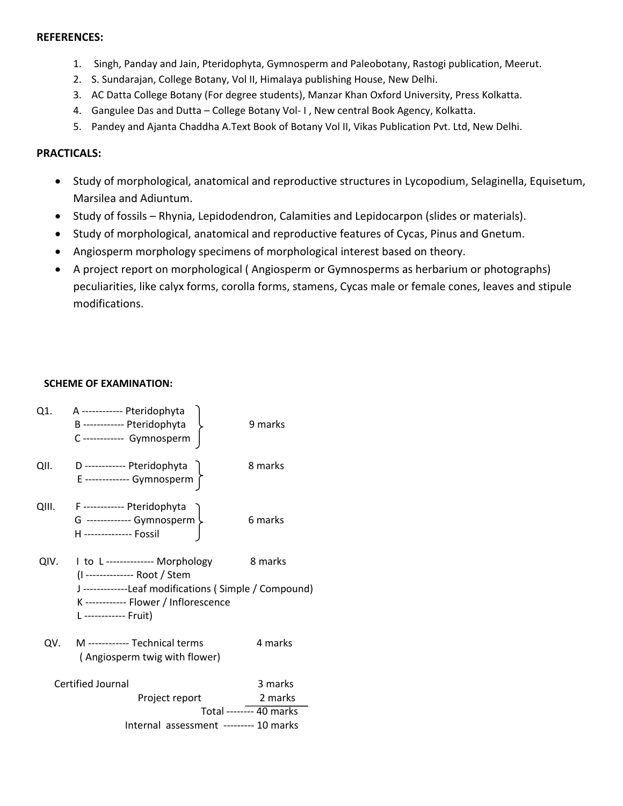#### **REFERENCES:**

- 1. Singh, Panday and Jain, Pteridophyta, Gymnosperm and Paleobotany, Rastogi publication, Meerut.
- 2. S. Sundarajan, College Botany, Vol II, Himalaya publishing House, New Delhi.
- 3. AC Datta College Botany (For degree students), Manzar Khan Oxford University, Press Kolkatta.
- 4. Gangulee Das and Dutta College Botany Vol- I, New central Book Agency, Kolkatta.
- 5. Pandey and Ajanta Chaddha A.Text Book of Botany Vol II, Vikas Publication Pvt. Ltd, New Delhi.

#### **PRACTICALS:**

- Study of morphological, anatomical and reproductive structures in Lycopodium, Selaginella, Equisetum, Marsilea and Adiuntum.
- Study of fossils Rhynia, Lepidodendron, Calamities and Lepidocarpon (slides or materials).
- Study of morphological, anatomical and reproductive features of Cycas, Pinus and Gnetum.
- Angiosperm morphology specimens of morphological interest based on theory.
- A project report on morphological ( Angiosperm or Gymnosperms as herbarium or photographs) peculiarities, like calyx forms, corolla forms, stamens, Cycas male or female cones, leaves and stipule modifications.

#### **SCHEME OF EXAMINATION:**

| D ----------- Pteridophyta<br>QII.<br>8 marks<br>E ------------- Gymnosperm<br>F ----------- Pteridophyta<br>QIII.<br>G ------------- Gymnosperm ><br>6 marks<br>H -------------- Fossil<br>8 marks<br>QIV.<br>I to L------------- Morphology<br>(I -------------- Root / Stem<br>J -------------Leaf modifications (Simple / Compound)<br>K------------ Flower / Inflorescence<br>L ------------ Fruit)<br>M ------------ Technical terms<br>4 marks<br>QV.<br>(Angiosperm twig with flower) | Q1. | A ------------ Pteridophyta<br>B------------ Pteridophyta<br>C------------ Gymnosperm | 9 marks |
|-----------------------------------------------------------------------------------------------------------------------------------------------------------------------------------------------------------------------------------------------------------------------------------------------------------------------------------------------------------------------------------------------------------------------------------------------------------------------------------------------|-----|---------------------------------------------------------------------------------------|---------|
|                                                                                                                                                                                                                                                                                                                                                                                                                                                                                               |     |                                                                                       |         |
|                                                                                                                                                                                                                                                                                                                                                                                                                                                                                               |     |                                                                                       |         |
|                                                                                                                                                                                                                                                                                                                                                                                                                                                                                               |     |                                                                                       |         |
|                                                                                                                                                                                                                                                                                                                                                                                                                                                                                               |     |                                                                                       |         |
| Certified Journal<br>3 marks<br>Project report<br>2 marks<br>Total -------- 40 marks<br>Internal assessment --------- 10 marks                                                                                                                                                                                                                                                                                                                                                                |     |                                                                                       |         |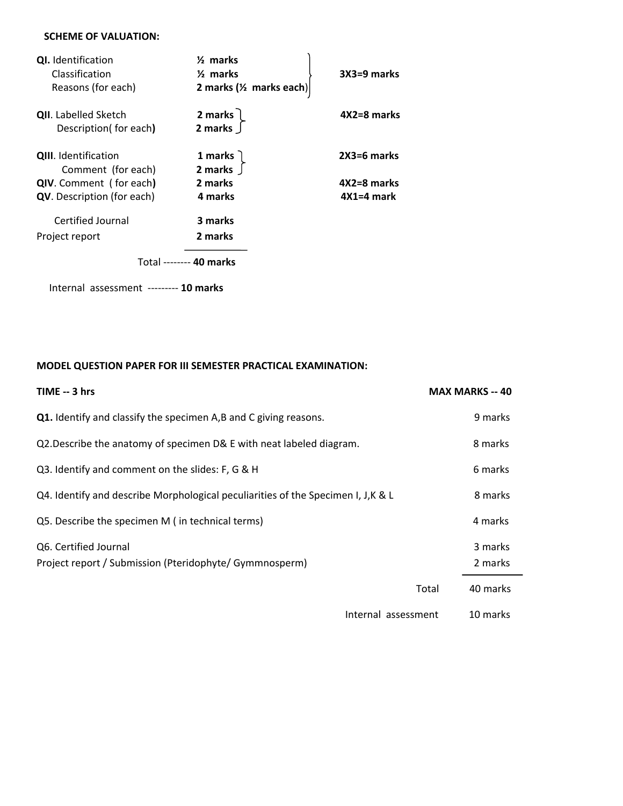#### **SCHEME OF VALUATION:**

| <b>QI.</b> Identification<br>Classification | $\frac{1}{2}$ marks<br>$\frac{1}{2}$ marks | $3X3=9$ marks |
|---------------------------------------------|--------------------------------------------|---------------|
| Reasons (for each)                          | 2 marks ( $\frac{1}{2}$ marks each)        |               |
| <b>QII.</b> Labelled Sketch                 | 2 marks $\overline{)}$                     | 4X2=8 marks   |
| Description(for each)                       | 2 marks $\int$                             |               |
| <b>QIII.</b> Identification                 | 1 marks                                    | 2X3=6 marks   |
| Comment (for each)                          | 2 marks $\int$                             |               |
| <b>QIV.</b> Comment (for each)              | 2 marks                                    | 4X2=8 marks   |
| <b>QV</b> . Description (for each)          | 4 marks                                    | $4X1=4$ mark  |
| Certified Journal                           | 3 marks                                    |               |
| Project report                              | 2 marks                                    |               |
|                                             | Total -------- 40 marks                    |               |
| Internal assessment --------- 10 marks      |                                            |               |

# **MODEL QUESTION PAPER FOR III SEMESTER PRACTICAL EXAMINATION:**

| TIME -- 3 hrs                                                                     | <b>MAX MARKS -- 40</b> |
|-----------------------------------------------------------------------------------|------------------------|
| Q1. Identify and classify the specimen A,B and C giving reasons.                  | 9 marks                |
| Q2. Describe the anatomy of specimen D& E with neat labeled diagram.              | 8 marks                |
| Q3. Identify and comment on the slides: F, G & H                                  | 6 marks                |
| Q4. Identify and describe Morphological peculiarities of the Specimen I, J, K & L | 8 marks                |
| Q5. Describe the specimen M (in technical terms)                                  | 4 marks                |
| Q6. Certified Journal<br>Project report / Submission (Pteridophyte/ Gymmnosperm)  | 3 marks<br>2 marks     |
|                                                                                   | Total<br>40 marks      |
| Internal assessment                                                               | 10 marks               |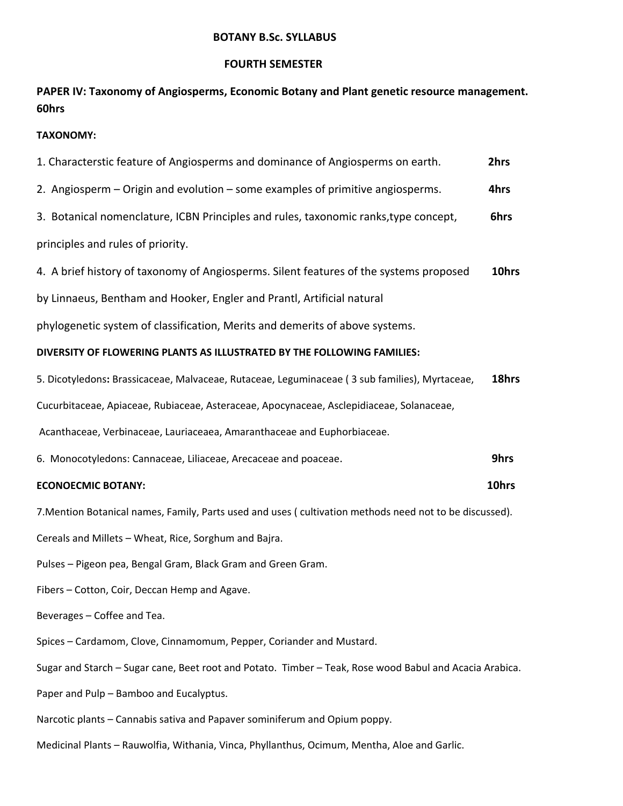# **FOURTH SEMESTER**

**PAPER IV: Taxonomy of Angiosperms, Economic Botany and Plant genetic resource management. 60hrs** 

## **TAXONOMY:**

| 1. Characterstic feature of Angiosperms and dominance of Angiosperms on earth.                          | 2hrs  |
|---------------------------------------------------------------------------------------------------------|-------|
| 2. Angiosperm – Origin and evolution – some examples of primitive angiosperms.                          | 4hrs  |
| 3. Botanical nomenclature, ICBN Principles and rules, taxonomic ranks, type concept,                    | 6hrs  |
| principles and rules of priority.                                                                       |       |
| 4. A brief history of taxonomy of Angiosperms. Silent features of the systems proposed                  | 10hrs |
| by Linnaeus, Bentham and Hooker, Engler and Prantl, Artificial natural                                  |       |
| phylogenetic system of classification, Merits and demerits of above systems.                            |       |
| DIVERSITY OF FLOWERING PLANTS AS ILLUSTRATED BY THE FOLLOWING FAMILIES:                                 |       |
| 5. Dicotyledons: Brassicaceae, Malvaceae, Rutaceae, Leguminaceae (3 sub families), Myrtaceae,           | 18hrs |
| Cucurbitaceae, Apiaceae, Rubiaceae, Asteraceae, Apocynaceae, Asclepidiaceae, Solanaceae,                |       |
| Acanthaceae, Verbinaceae, Lauriaceaea, Amaranthaceae and Euphorbiaceae.                                 |       |
| 6. Monocotyledons: Cannaceae, Liliaceae, Arecaceae and poaceae.                                         | 9hrs  |
| <b>ECONOECMIC BOTANY:</b>                                                                               | 10hrs |
| 7. Mention Botanical names, Family, Parts used and uses (cultivation methods need not to be discussed). |       |
| Cereals and Millets - Wheat, Rice, Sorghum and Bajra.                                                   |       |
| Pulses - Pigeon pea, Bengal Gram, Black Gram and Green Gram.                                            |       |
| Fibers - Cotton, Coir, Deccan Hemp and Agave.                                                           |       |
| Beverages - Coffee and Tea.                                                                             |       |
| Spices - Cardamom, Clove, Cinnamomum, Pepper, Coriander and Mustard.                                    |       |
| Sugar and Starch - Sugar cane, Beet root and Potato. Timber - Teak, Rose wood Babul and Acacia Arabica. |       |
| Paper and Pulp - Bamboo and Eucalyptus.                                                                 |       |
| Narcotic plants - Cannabis sativa and Papaver sominiferum and Opium poppy.                              |       |
| Medicinal Plants - Rauwolfia, Withania, Vinca, Phyllanthus, Ocimum, Mentha, Aloe and Garlic.            |       |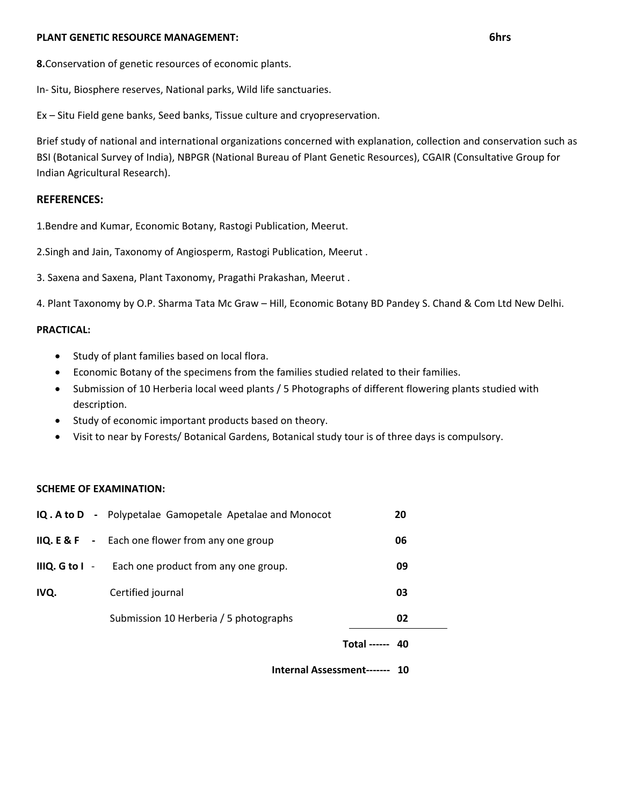#### **PLANT GENETIC RESOURCE MANAGEMENT: 6hrs**

**8.**Conservation of genetic resources of economic plants.

In- Situ, Biosphere reserves, National parks, Wild life sanctuaries.

Ex – Situ Field gene banks, Seed banks, Tissue culture and cryopreservation.

Brief study of national and international organizations concerned with explanation, collection and conservation such as BSI (Botanical Survey of India), NBPGR (National Bureau of Plant Genetic Resources), CGAIR (Consultative Group for Indian Agricultural Research).

#### **REFERENCES:**

1.Bendre and Kumar, Economic Botany, Rastogi Publication, Meerut.

2.Singh and Jain, Taxonomy of Angiosperm, Rastogi Publication, Meerut .

3. Saxena and Saxena, Plant Taxonomy, Pragathi Prakashan, Meerut .

4. Plant Taxonomy by O.P. Sharma Tata Mc Graw – Hill, Economic Botany BD Pandey S. Chand & Com Ltd New Delhi.

#### **PRACTICAL:**

- Study of plant families based on local flora.
- Economic Botany of the specimens from the families studied related to their families.
- Submission of 10 Herberia local weed plants / 5 Photographs of different flowering plants studied with description.
- Study of economic important products based on theory.
- Visit to near by Forests/ Botanical Gardens, Botanical study tour is of three days is compulsory.

#### **SCHEME OF EXAMINATION:**

|                  | المتمومون ومواط الموسولات                                        |                 |    |
|------------------|------------------------------------------------------------------|-----------------|----|
|                  |                                                                  | Total ------ 40 |    |
|                  | Submission 10 Herberia / 5 photographs                           |                 | 02 |
| IVQ.             | Certified journal                                                |                 | 03 |
| IIIQ. G to $I -$ | Each one product from any one group.                             |                 | 09 |
|                  | <b>IIQ. E &amp; F</b> $\cdot$ Each one flower from any one group |                 | 06 |
|                  | IQ. A to D - Polypetalae Gamopetale Apetalae and Monocot         |                 | 20 |

 **Internal Assessment------- 10**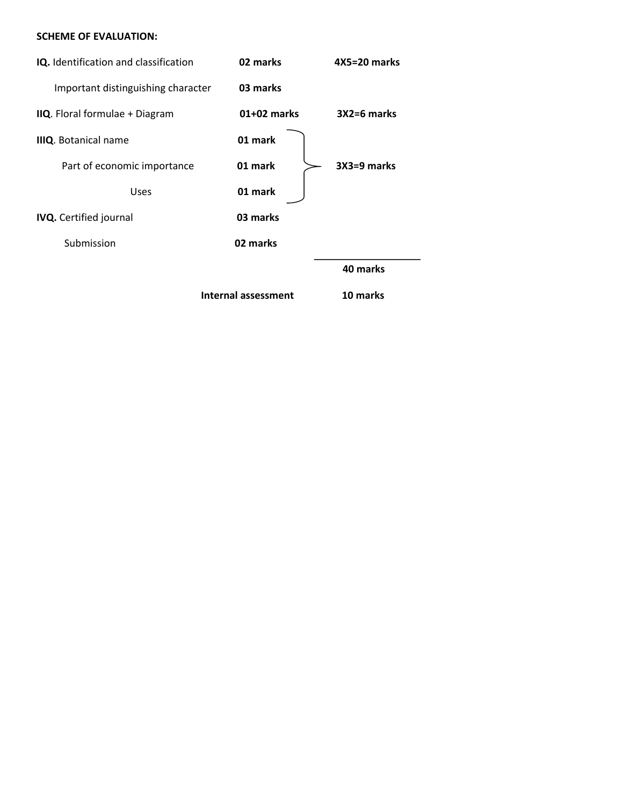#### **SCHEME OF EVALUATION:**

| IQ. Identification and classification | 02 marks      | 4X5=20 marks  |
|---------------------------------------|---------------|---------------|
| Important distinguishing character    | 03 marks      |               |
| IIQ. Floral formulae + Diagram        | $01+02$ marks | $3X2=6$ marks |
| <b>IIIQ.</b> Botanical name           | 01 mark       |               |
| Part of economic importance           | 01 mark       | $3X3=9$ marks |
| <b>Uses</b>                           | 01 mark       |               |
| <b>IVQ.</b> Certified journal         | 03 marks      |               |
| Submission                            | 02 marks      |               |
|                                       |               | 40 marks      |
|                                       |               |               |

 **Internal assessment 10 marks**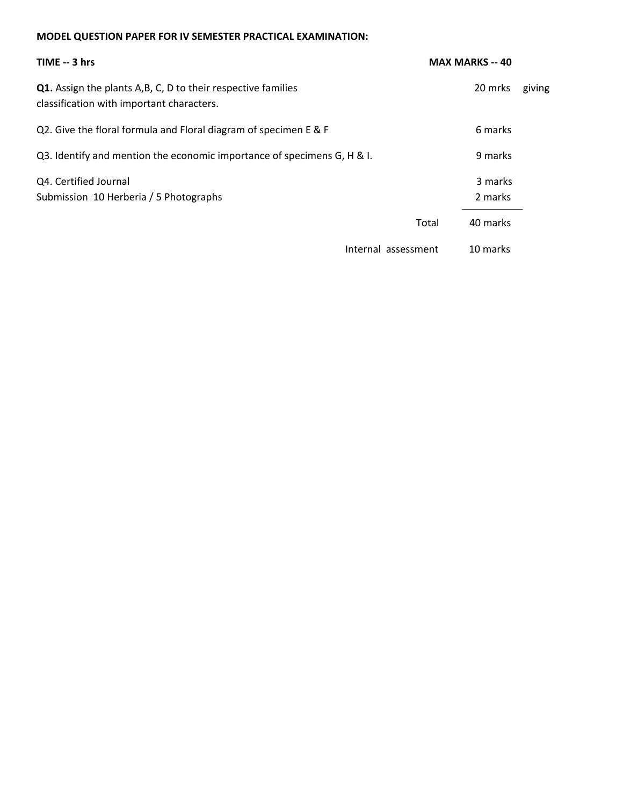#### **MODEL QUESTION PAPER FOR IV SEMESTER PRACTICAL EXAMINATION:**

| TIME -- 3 hrs                                                                                              | <b>MAX MARKS -- 40</b> |                    |        |
|------------------------------------------------------------------------------------------------------------|------------------------|--------------------|--------|
| Q1. Assign the plants A, B, C, D to their respective families<br>classification with important characters. |                        | 20 mrks            | giving |
| Q2. Give the floral formula and Floral diagram of specimen E & F                                           |                        | 6 marks            |        |
| Q3. Identify and mention the economic importance of specimens G, H & I.                                    |                        | 9 marks            |        |
| Q4. Certified Journal<br>Submission 10 Herberia / 5 Photographs                                            |                        | 3 marks<br>2 marks |        |
|                                                                                                            | Total                  | 40 marks           |        |
| Internal assessment                                                                                        |                        | 10 marks           |        |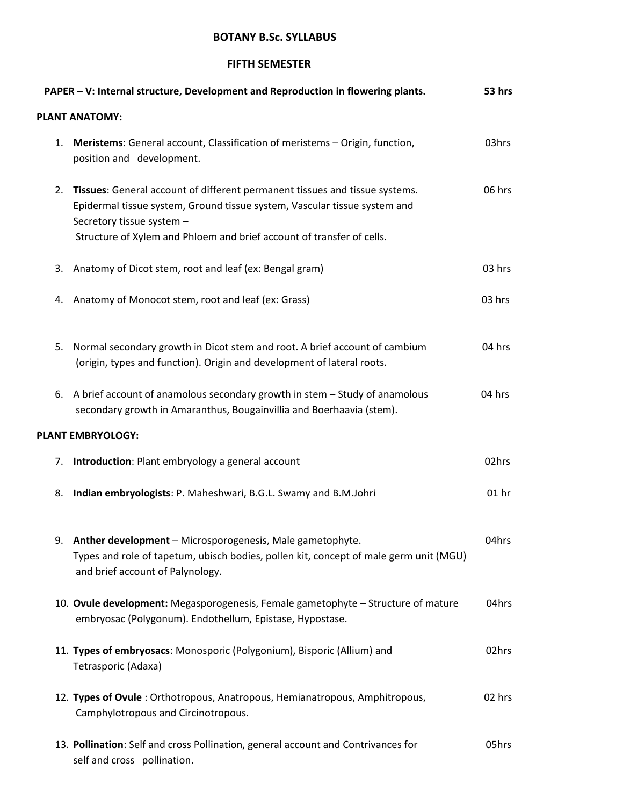#### **FIFTH SEMESTER**

|    | PAPER - V: Internal structure, Development and Reproduction in flowering plants.                                                                                                                                                                               | 53 hrs  |
|----|----------------------------------------------------------------------------------------------------------------------------------------------------------------------------------------------------------------------------------------------------------------|---------|
|    | <b>PLANT ANATOMY:</b>                                                                                                                                                                                                                                          |         |
| 1. | Meristems: General account, Classification of meristems - Origin, function,<br>position and development.                                                                                                                                                       | 03hrs   |
| 2. | Tissues: General account of different permanent tissues and tissue systems.<br>Epidermal tissue system, Ground tissue system, Vascular tissue system and<br>Secretory tissue system -<br>Structure of Xylem and Phloem and brief account of transfer of cells. | 06 hrs  |
|    |                                                                                                                                                                                                                                                                |         |
| 3. | Anatomy of Dicot stem, root and leaf (ex: Bengal gram)                                                                                                                                                                                                         | 03 hrs  |
| 4. | Anatomy of Monocot stem, root and leaf (ex: Grass)                                                                                                                                                                                                             | 03 hrs  |
| 5. | Normal secondary growth in Dicot stem and root. A brief account of cambium<br>(origin, types and function). Origin and development of lateral roots.                                                                                                           | 04 hrs  |
| 6. | A brief account of anamolous secondary growth in stem - Study of anamolous<br>secondary growth in Amaranthus, Bougainvillia and Boerhaavia (stem).                                                                                                             | 04 hrs  |
|    | PLANT EMBRYOLOGY:                                                                                                                                                                                                                                              |         |
| 7. | Introduction: Plant embryology a general account                                                                                                                                                                                                               | 02hrs   |
| 8. | Indian embryologists: P. Maheshwari, B.G.L. Swamy and B.M.Johri                                                                                                                                                                                                | $01$ hr |
|    | Anther development - Microsporogenesis, Male gametophyte.<br>Types and role of tapetum, ubisch bodies, pollen kit, concept of male germ unit (MGU)<br>and brief account of Palynology.                                                                         | 04hrs   |
|    | 10. Ovule development: Megasporogenesis, Female gametophyte - Structure of mature<br>embryosac (Polygonum). Endothellum, Epistase, Hypostase.                                                                                                                  | 04hrs   |
|    | 11. Types of embryosacs: Monosporic (Polygonium), Bisporic (Allium) and<br>Tetrasporic (Adaxa)                                                                                                                                                                 | 02hrs   |
|    | 12. Types of Ovule: Orthotropous, Anatropous, Hemianatropous, Amphitropous,<br>Camphylotropous and Circinotropous.                                                                                                                                             | 02 hrs  |
|    | 13. Pollination: Self and cross Pollination, general account and Contrivances for<br>self and cross pollination.                                                                                                                                               | 05hrs   |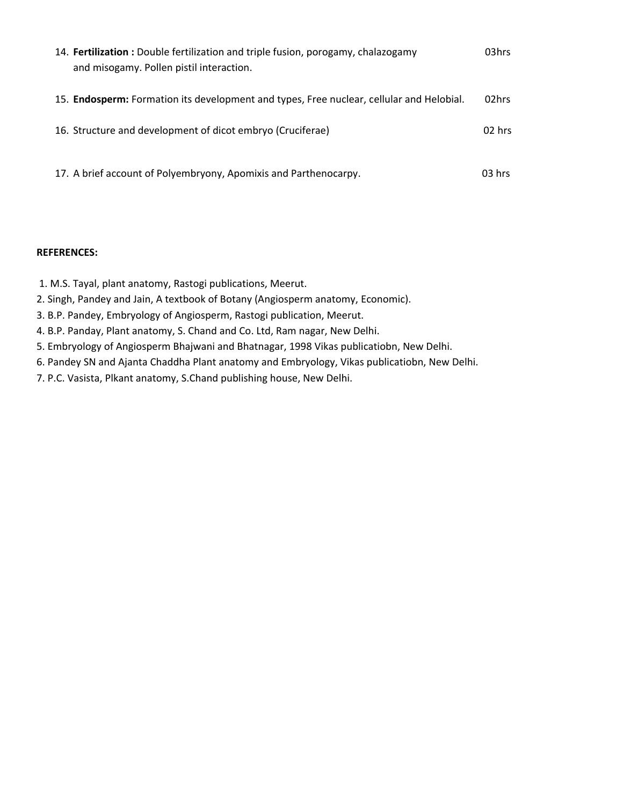| 14. Fertilization : Double fertilization and triple fusion, porogamy, chalazogamy<br>and misogamy. Pollen pistil interaction. | 03hrs    |
|-------------------------------------------------------------------------------------------------------------------------------|----------|
| 15. Endosperm: Formation its development and types, Free nuclear, cellular and Helobial.                                      | 02hrs    |
| 16. Structure and development of dicot embryo (Cruciferae)                                                                    | $02$ hrs |
| 17. A brief account of Polyembryony, Apomixis and Parthenocarpy.                                                              | $03$ hrs |

#### **REFERENCES:**

1. M.S. Tayal, plant anatomy, Rastogi publications, Meerut.

- 2. Singh, Pandey and Jain, A textbook of Botany (Angiosperm anatomy, Economic).
- 3. B.P. Pandey, Embryology of Angiosperm, Rastogi publication, Meerut.
- 4. B.P. Panday, Plant anatomy, S. Chand and Co. Ltd, Ram nagar, New Delhi.
- 5. Embryology of Angiosperm Bhajwani and Bhatnagar, 1998 Vikas publicatiobn, New Delhi.
- 6. Pandey SN and Ajanta Chaddha Plant anatomy and Embryology, Vikas publicatiobn, New Delhi.
- 7. P.C. Vasista, Plkant anatomy, S.Chand publishing house, New Delhi.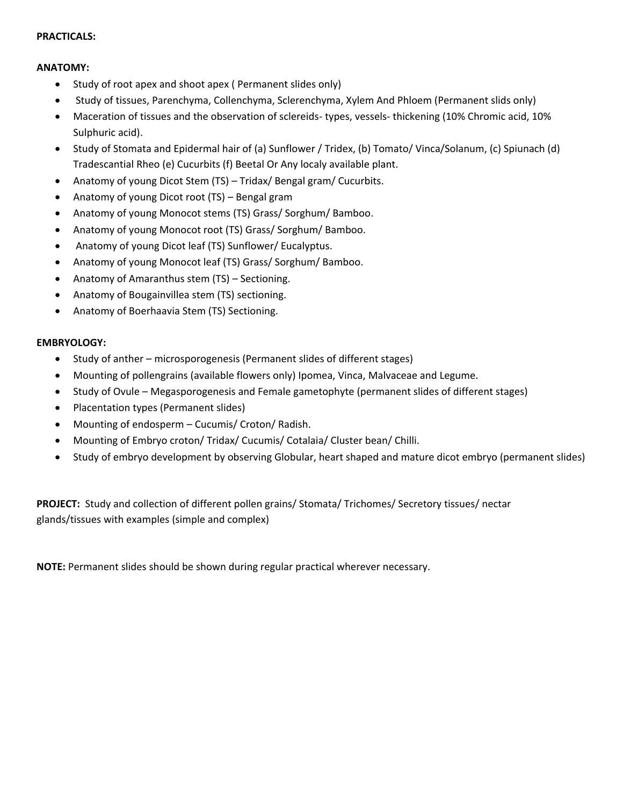#### **PRACTICALS:**

#### **ANATOMY:**

- Study of root apex and shoot apex ( Permanent slides only)
- Study of tissues, Parenchyma, Collenchyma, Sclerenchyma, Xylem And Phloem (Permanent slids only)
- Maceration of tissues and the observation of sclereids- types, vessels- thickening (10% Chromic acid, 10% Sulphuric acid).
- Study of Stomata and Epidermal hair of (a) Sunflower / Tridex, (b) Tomato/ Vinca/Solanum, (c) Spiunach (d) Tradescantial Rheo (e) Cucurbits (f) Beetal Or Any localy available plant.
- Anatomy of young Dicot Stem (TS) Tridax/ Bengal gram/ Cucurbits.
- Anatomy of young Dicot root (TS) Bengal gram
- Anatomy of young Monocot stems (TS) Grass/ Sorghum/ Bamboo.
- Anatomy of young Monocot root (TS) Grass/ Sorghum/ Bamboo.
- Anatomy of young Dicot leaf (TS) Sunflower/ Eucalyptus.
- Anatomy of young Monocot leaf (TS) Grass/ Sorghum/ Bamboo.
- Anatomy of Amaranthus stem (TS) Sectioning.
- Anatomy of Bougainvillea stem (TS) sectioning.
- Anatomy of Boerhaavia Stem (TS) Sectioning.

#### **EMBRYOLOGY:**

- Study of anther microsporogenesis (Permanent slides of different stages)
- Mounting of pollengrains (available flowers only) Ipomea, Vinca, Malvaceae and Legume.
- Study of Ovule Megasporogenesis and Female gametophyte (permanent slides of different stages)
- Placentation types (Permanent slides)
- Mounting of endosperm Cucumis/ Croton/ Radish.
- Mounting of Embryo croton/ Tridax/ Cucumis/ Cotalaia/ Cluster bean/ Chilli.
- Study of embryo development by observing Globular, heart shaped and mature dicot embryo (permanent slides)

**PROJECT:** Study and collection of different pollen grains/ Stomata/ Trichomes/ Secretory tissues/ nectar glands/tissues with examples (simple and complex)

**NOTE:** Permanent slides should be shown during regular practical wherever necessary.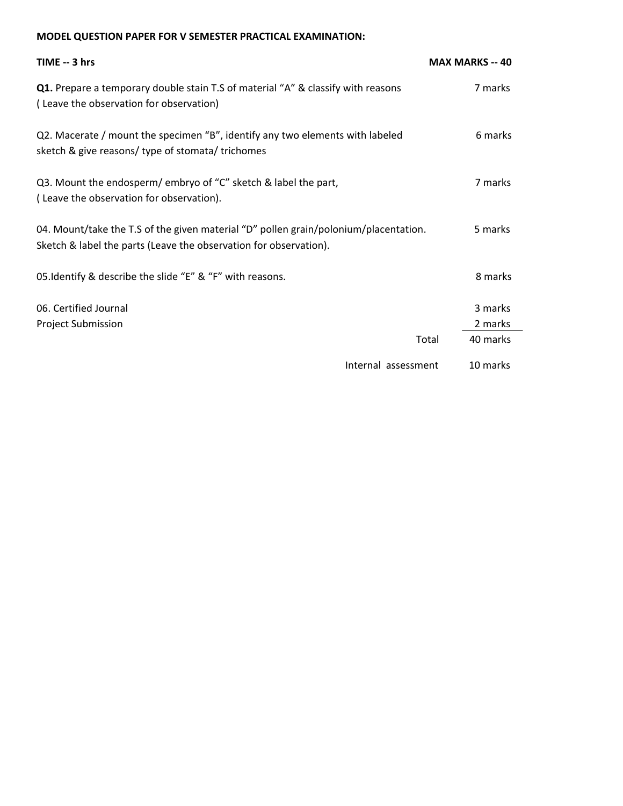#### **MODEL QUESTION PAPER FOR V SEMESTER PRACTICAL EXAMINATION:**

| TIME -- 3 hrs                                                                                                                                             | <b>MAX MARKS -- 40</b> |
|-----------------------------------------------------------------------------------------------------------------------------------------------------------|------------------------|
| <b>Q1.</b> Prepare a temporary double stain T.S of material "A" & classify with reasons<br>(Leave the observation for observation)                        | 7 marks                |
| Q2. Macerate / mount the specimen "B", identify any two elements with labeled<br>sketch & give reasons/ type of stomata/ trichomes                        | 6 marks                |
| Q3. Mount the endosperm/ embryo of "C" sketch & label the part,<br>(Leave the observation for observation).                                               | 7 marks                |
| 04. Mount/take the T.S of the given material "D" pollen grain/polonium/placentation.<br>Sketch & label the parts (Leave the observation for observation). | 5 marks                |
| 05. Identify & describe the slide "E" & "F" with reasons.                                                                                                 | 8 marks                |
| 06. Certified Journal                                                                                                                                     | 3 marks                |
| <b>Project Submission</b>                                                                                                                                 | 2 marks                |
|                                                                                                                                                           | 40 marks<br>Total      |
| Internal assessment                                                                                                                                       | 10 marks               |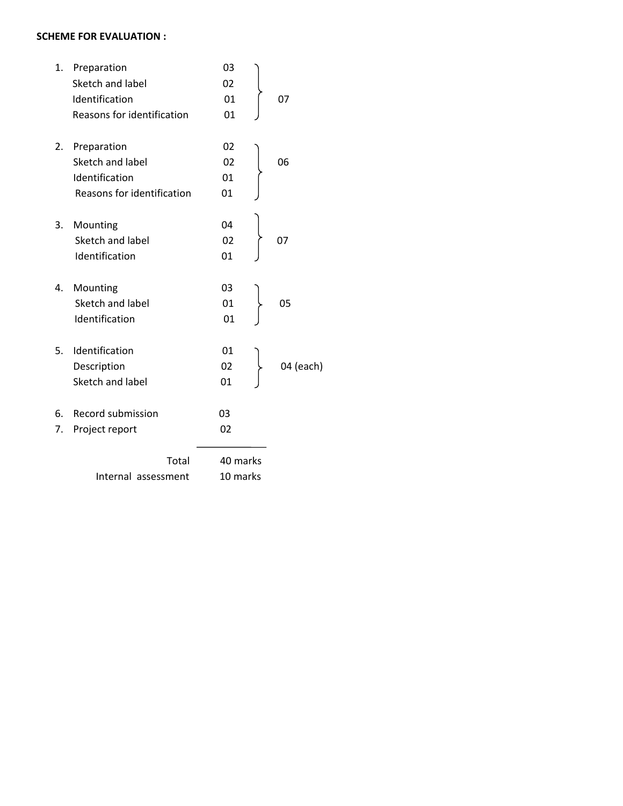#### **SCHEME FOR EVALUATION :**

| 1. | Preparation                | 03       |           |
|----|----------------------------|----------|-----------|
|    | Sketch and label           | 02       |           |
|    | Identification             | 01       | 07        |
|    | Reasons for identification | 01       |           |
| 2. | Preparation                | 02       |           |
|    | Sketch and label           | 02       | 06        |
|    | Identification             | 01       |           |
|    | Reasons for identification | 01       |           |
| 3. | Mounting                   | 04       |           |
|    | Sketch and label           | 02       | 07        |
|    | Identification             | 01       |           |
| 4. | Mounting                   | 03       |           |
|    | Sketch and label           | 01       | 05        |
|    | Identification             | 01       |           |
| 5. | Identification             | 01       |           |
|    | Description                | 02       | 04 (each) |
|    | Sketch and label           | 01       |           |
| 6. | Record submission          | 03       |           |
| 7. | Project report             | 02       |           |
|    | Total                      | 40 marks |           |
|    | Internal assessment        | 10 marks |           |
|    |                            |          |           |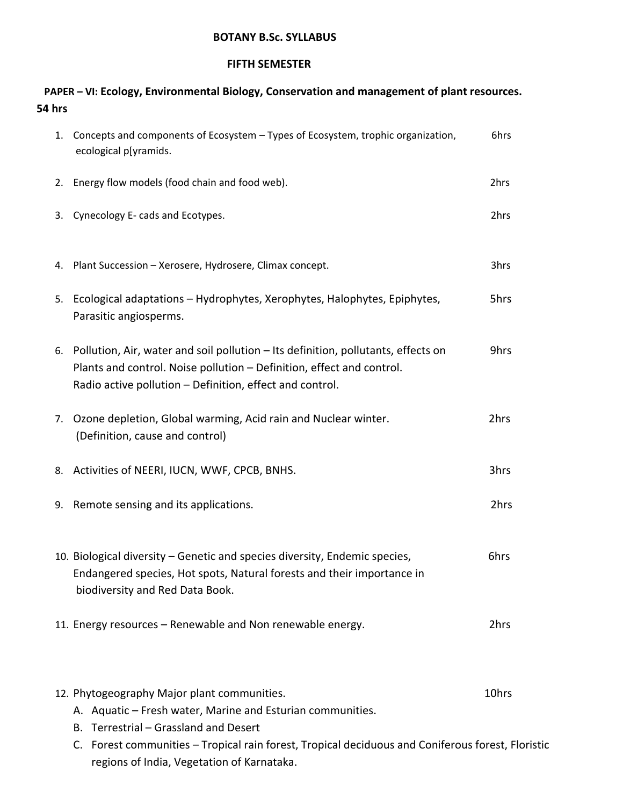#### **FIFTH SEMESTER**

# **PAPER – VI: Ecology, Environmental Biology, Conservation and management of plant resources. 54 hrs**

|    | 1. Concepts and components of Ecosystem - Types of Ecosystem, trophic organization,<br>ecological p[yramids.                                                                                                                                                                                                | 6hrs  |
|----|-------------------------------------------------------------------------------------------------------------------------------------------------------------------------------------------------------------------------------------------------------------------------------------------------------------|-------|
|    | 2. Energy flow models (food chain and food web).                                                                                                                                                                                                                                                            | 2hrs  |
| 3. | Cynecology E- cads and Ecotypes.                                                                                                                                                                                                                                                                            | 2hrs  |
|    | 4. Plant Succession - Xerosere, Hydrosere, Climax concept.                                                                                                                                                                                                                                                  | 3hrs  |
| 5. | Ecological adaptations - Hydrophytes, Xerophytes, Halophytes, Epiphytes,<br>Parasitic angiosperms.                                                                                                                                                                                                          | 5hrs  |
|    | 6. Pollution, Air, water and soil pollution – Its definition, pollutants, effects on<br>Plants and control. Noise pollution - Definition, effect and control.<br>Radio active pollution - Definition, effect and control.                                                                                   | 9hrs  |
|    | 7. Ozone depletion, Global warming, Acid rain and Nuclear winter.<br>(Definition, cause and control)                                                                                                                                                                                                        | 2hrs  |
|    | 8. Activities of NEERI, IUCN, WWF, CPCB, BNHS.                                                                                                                                                                                                                                                              | 3hrs  |
|    | 9. Remote sensing and its applications.                                                                                                                                                                                                                                                                     | 2hrs  |
|    | 10. Biological diversity – Genetic and species diversity, Endemic species,<br>Endangered species, Hot spots, Natural forests and their importance in<br>biodiversity and Red Data Book.                                                                                                                     | 6hrs  |
|    | 11. Energy resources – Renewable and Non renewable energy.                                                                                                                                                                                                                                                  | 2hrs  |
|    | 12. Phytogeography Major plant communities.<br>A. Aquatic - Fresh water, Marine and Esturian communities.<br>Terrestrial - Grassland and Desert<br>В.<br>Forest communities - Tropical rain forest, Tropical deciduous and Coniferous forest, Floristic<br>C.<br>regions of India, Vegetation of Karnataka. | 10hrs |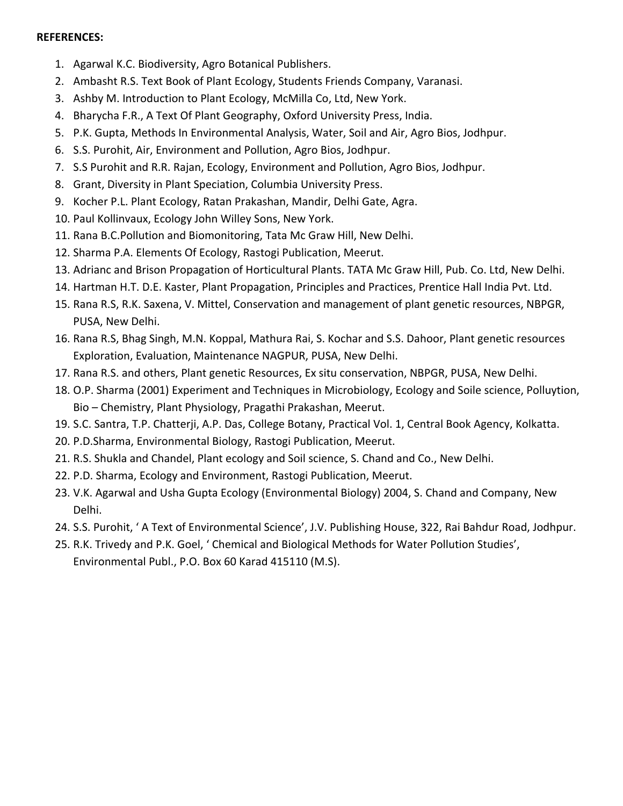#### **REFERENCES:**

- 1. Agarwal K.C. Biodiversity, Agro Botanical Publishers.
- 2. Ambasht R.S. Text Book of Plant Ecology, Students Friends Company, Varanasi.
- 3. Ashby M. Introduction to Plant Ecology, McMilla Co, Ltd, New York.
- 4. Bharycha F.R., A Text Of Plant Geography, Oxford University Press, India.
- 5. P.K. Gupta, Methods In Environmental Analysis, Water, Soil and Air, Agro Bios, Jodhpur.
- 6. S.S. Purohit, Air, Environment and Pollution, Agro Bios, Jodhpur.
- 7. S.S Purohit and R.R. Rajan, Ecology, Environment and Pollution, Agro Bios, Jodhpur.
- 8. Grant, Diversity in Plant Speciation, Columbia University Press.
- 9. Kocher P.L. Plant Ecology, Ratan Prakashan, Mandir, Delhi Gate, Agra.
- 10. Paul Kollinvaux, Ecology John Willey Sons, New York.
- 11. Rana B.C.Pollution and Biomonitoring, Tata Mc Graw Hill, New Delhi.
- 12. Sharma P.A. Elements Of Ecology, Rastogi Publication, Meerut.
- 13. Adrianc and Brison Propagation of Horticultural Plants. TATA Mc Graw Hill, Pub. Co. Ltd, New Delhi.
- 14. Hartman H.T. D.E. Kaster, Plant Propagation, Principles and Practices, Prentice Hall India Pvt. Ltd.
- 15. Rana R.S, R.K. Saxena, V. Mittel, Conservation and management of plant genetic resources, NBPGR, PUSA, New Delhi.
- 16. Rana R.S, Bhag Singh, M.N. Koppal, Mathura Rai, S. Kochar and S.S. Dahoor, Plant genetic resources Exploration, Evaluation, Maintenance NAGPUR, PUSA, New Delhi.
- 17. Rana R.S. and others, Plant genetic Resources, Ex situ conservation, NBPGR, PUSA, New Delhi.
- 18. O.P. Sharma (2001) Experiment and Techniques in Microbiology, Ecology and Soile science, Polluytion, Bio – Chemistry, Plant Physiology, Pragathi Prakashan, Meerut.
- 19. S.C. Santra, T.P. Chatterji, A.P. Das, College Botany, Practical Vol. 1, Central Book Agency, Kolkatta.
- 20. P.D.Sharma, Environmental Biology, Rastogi Publication, Meerut.
- 21. R.S. Shukla and Chandel, Plant ecology and Soil science, S. Chand and Co., New Delhi.
- 22. P.D. Sharma, Ecology and Environment, Rastogi Publication, Meerut.
- 23. V.K. Agarwal and Usha Gupta Ecology (Environmental Biology) 2004, S. Chand and Company, New Delhi.
- 24. S.S. Purohit, ' A Text of Environmental Science', J.V. Publishing House, 322, Rai Bahdur Road, Jodhpur.
- 25. R.K. Trivedy and P.K. Goel, ' Chemical and Biological Methods for Water Pollution Studies', Environmental Publ., P.O. Box 60 Karad 415110 (M.S).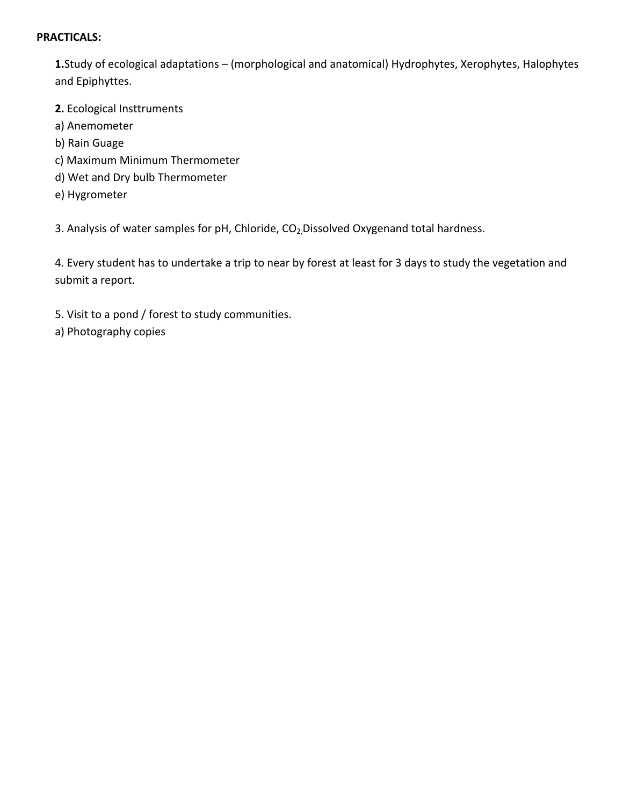#### **PRACTICALS:**

**1.**Study of ecological adaptations – (morphological and anatomical) Hydrophytes, Xerophytes, Halophytes and Epiphyttes.

**2.** Ecological Insttruments

- a) Anemometer
- b) Rain Guage
- c) Maximum Minimum Thermometer
- d) Wet and Dry bulb Thermometer
- e) Hygrometer

3. Analysis of water samples for pH, Chloride, CO<sub>2</sub>, Dissolved Oxygenand total hardness.

4. Every student has to undertake a trip to near by forest at least for 3 days to study the vegetation and submit a report.

- 5. Visit to a pond / forest to study communities.
- a) Photography copies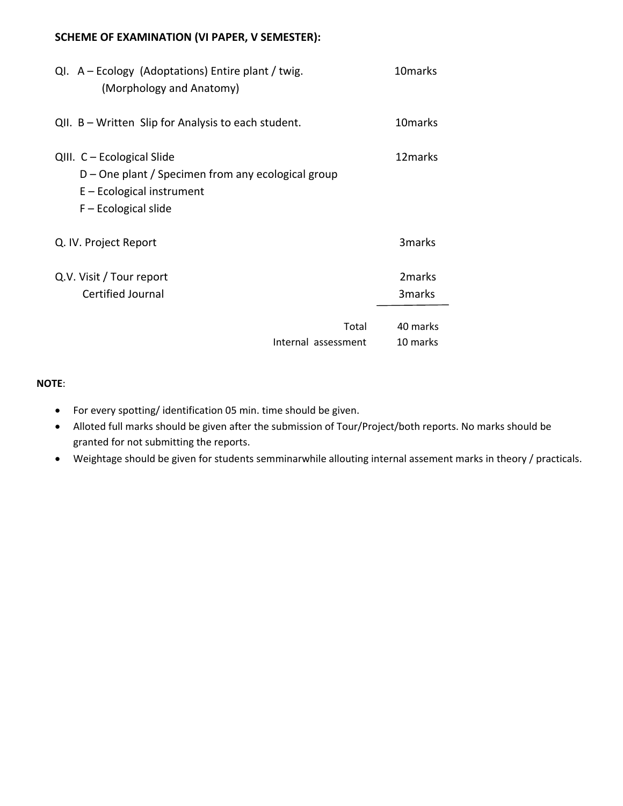### **SCHEME OF EXAMINATION (VI PAPER, V SEMESTER):**

| $QI. A - Ecology (Adoptations)$ Entire plant / twig.<br>(Morphology and Anatomy)                                                          | 10 <sub>marks</sub> |
|-------------------------------------------------------------------------------------------------------------------------------------------|---------------------|
| QII. B – Written Slip for Analysis to each student.                                                                                       | 10 marks            |
| QIII. C - Ecological Slide<br>D – One plant / Specimen from any ecological group<br>$E$ – Ecological instrument<br>$F -$ Ecological slide | 12 marks            |
| Q. IV. Project Report                                                                                                                     | 3marks              |
| Q.V. Visit / Tour report                                                                                                                  | 2 <sub>marks</sub>  |
| Certified Journal                                                                                                                         | 3 <sub>marks</sub>  |
| Total                                                                                                                                     | 40 marks            |
| Internal assessment                                                                                                                       | 10 marks            |

#### **NOTE**:

- For every spotting/ identification 05 min. time should be given.
- Alloted full marks should be given after the submission of Tour/Project/both reports. No marks should be granted for not submitting the reports.
- Weightage should be given for students semminarwhile allouting internal assement marks in theory / practicals.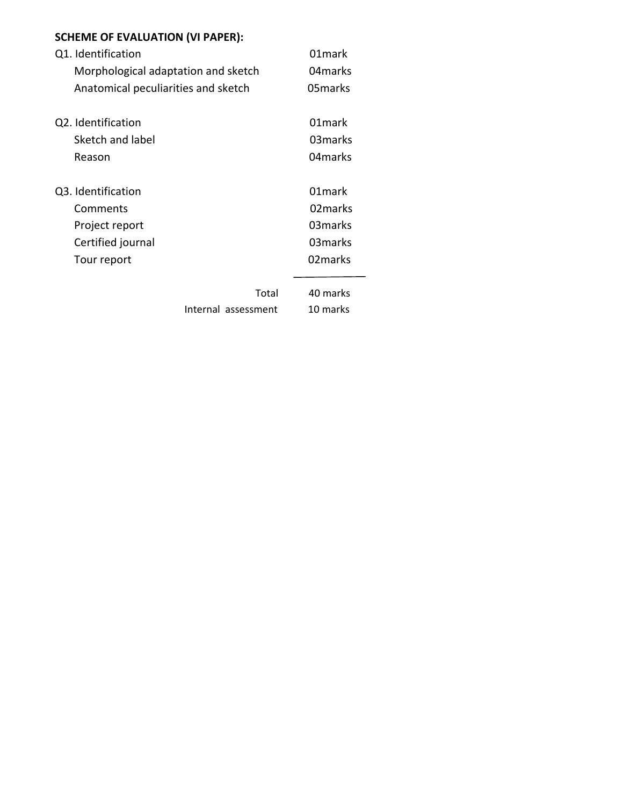| <b>SCHEME OF EVALUATION (VI PAPER):</b> |  |  |
|-----------------------------------------|--|--|
|-----------------------------------------|--|--|

| Q1. Identification                  | 01 mark  |
|-------------------------------------|----------|
| Morphological adaptation and sketch | 04 marks |
| Anatomical peculiarities and sketch | 05 marks |
| Q2. Identification                  | 01 mark  |
| Sketch and label                    | 03 marks |
| Reason                              | 04 marks |
| Q3. Identification                  | 01 mark  |
| Comments                            | 02 marks |
| Project report                      | 03 marks |
| Certified journal                   | 03 marks |
| Tour report                         | 02 marks |
| Total                               | 40 marks |
| Internal assessment                 | 10 marks |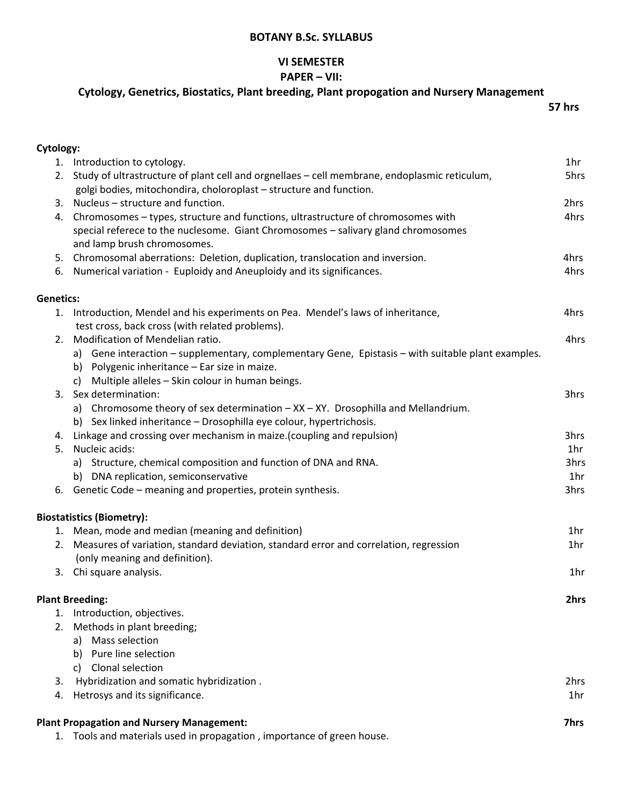#### **VI SEMESTER**

#### **PAPER – VII:**

# **Cytology, Genetrics, Biostatics, Plant breeding, Plant propogation and Nursery Management**

 **57 hrs**

| Cytology:        |                                                                                                    |                 |
|------------------|----------------------------------------------------------------------------------------------------|-----------------|
|                  | 1. Introduction to cytology.                                                                       | 1hr             |
|                  | 2. Study of ultrastructure of plant cell and orgnellaes - cell membrane, endoplasmic reticulum,    | 5hrs            |
|                  | golgi bodies, mitochondira, choloroplast - structure and function.                                 |                 |
| 3.               | Nucleus - structure and function.                                                                  | 2hrs            |
| 4.               | Chromosomes - types, structure and functions, ultrastructure of chromosomes with                   | 4hrs            |
|                  | special referece to the nuclesome. Giant Chromosomes - salivary gland chromosomes                  |                 |
|                  | and lamp brush chromosomes.                                                                        |                 |
| 5.               | Chromosomal aberrations: Deletion, duplication, translocation and inversion.                       | 4hrs            |
| 6.               | Numerical variation - Euploidy and Aneuploidy and its significances.                               | 4hrs            |
| <b>Genetics:</b> |                                                                                                    |                 |
| 1.               | Introduction, Mendel and his experiments on Pea. Mendel's laws of inheritance,                     | 4hrs            |
|                  | test cross, back cross (with related problems).                                                    |                 |
| 2.               | Modification of Mendelian ratio.                                                                   | 4hrs            |
|                  | a) Gene interaction - supplementary, complementary Gene, Epistasis - with suitable plant examples. |                 |
|                  | b) Polygenic inheritance - Ear size in maize.                                                      |                 |
|                  | c) Multiple alleles - Skin colour in human beings.                                                 |                 |
| 3.               | Sex determination:                                                                                 | 3hrs            |
|                  | a) Chromosome theory of sex determination $- XX - XY$ . Drosophilla and Mellandrium.               |                 |
|                  | b) Sex linked inheritance - Drosophilla eye colour, hypertrichosis.                                |                 |
| 4.               | Linkage and crossing over mechanism in maize. (coupling and repulsion)                             | 3hrs            |
| 5.               | Nucleic acids:                                                                                     | 1 <sub>hr</sub> |
|                  | a) Structure, chemical composition and function of DNA and RNA.                                    | 3hrs            |
|                  | b) DNA replication, semiconservative                                                               | 1hr             |
| 6.               | Genetic Code - meaning and properties, protein synthesis.                                          | 3hrs            |
|                  | <b>Biostatistics (Biometry):</b>                                                                   |                 |
|                  | 1. Mean, mode and median (meaning and definition)                                                  | 1hr             |
| 2.               | Measures of variation, standard deviation, standard error and correlation, regression              | 1hr             |
|                  | (only meaning and definition).                                                                     |                 |
|                  | 3. Chi square analysis.                                                                            | 1hr             |
|                  |                                                                                                    |                 |
|                  | <b>Plant Breeding:</b>                                                                             | 2hrs            |
| 1.               | Introduction, objectives.                                                                          |                 |
| 2.               | Methods in plant breeding;                                                                         |                 |
|                  | a) Mass selection                                                                                  |                 |
|                  | b) Pure line selection                                                                             |                 |
|                  | Clonal selection<br>C)                                                                             |                 |
| 3.               | Hybridization and somatic hybridization.                                                           | 2hrs            |
|                  | 4. Hetrosys and its significance.                                                                  | 1hr             |
|                  | <b>Plant Propagation and Nursery Management:</b>                                                   | <b>7hrs</b>     |
| 1.               | Tools and materials used in propagation, importance of green house.                                |                 |
|                  |                                                                                                    |                 |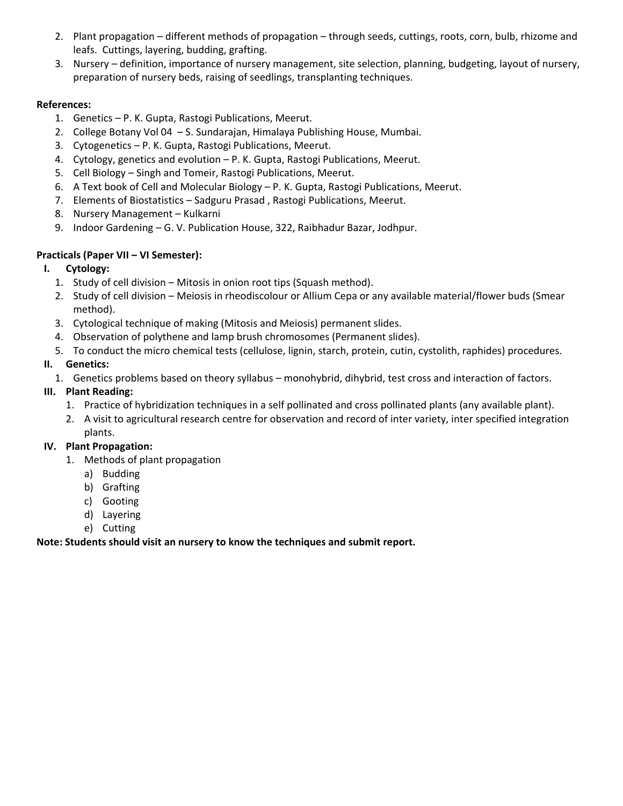- 2. Plant propagation different methods of propagation through seeds, cuttings, roots, corn, bulb, rhizome and leafs. Cuttings, layering, budding, grafting.
- 3. Nursery definition, importance of nursery management, site selection, planning, budgeting, layout of nursery, preparation of nursery beds, raising of seedlings, transplanting techniques.

#### **References:**

- 1. Genetics P. K. Gupta, Rastogi Publications, Meerut.
- 2. College Botany Vol 04 S. Sundarajan, Himalaya Publishing House, Mumbai.
- 3. Cytogenetics P. K. Gupta, Rastogi Publications, Meerut.
- 4. Cytology, genetics and evolution P. K. Gupta, Rastogi Publications, Meerut.
- 5. Cell Biology Singh and Tomeir, Rastogi Publications, Meerut.
- 6. A Text book of Cell and Molecular Biology P. K. Gupta, Rastogi Publications, Meerut.
- 7. Elements of Biostatistics Sadguru Prasad , Rastogi Publications, Meerut.
- 8. Nursery Management Kulkarni
- 9. Indoor Gardening G. V. Publication House, 322, Raibhadur Bazar, Jodhpur.

# **Practicals (Paper VII – VI Semester):**

# **I. Cytology:**

- 1. Study of cell division Mitosis in onion root tips (Squash method).
- 2. Study of cell division Meiosis in rheodiscolour or Allium Cepa or any available material/flower buds (Smear method).
- 3. Cytological technique of making (Mitosis and Meiosis) permanent slides.
- 4. Observation of polythene and lamp brush chromosomes (Permanent slides).
- 5. To conduct the micro chemical tests (cellulose, lignin, starch, protein, cutin, cystolith, raphides) procedures.

# **II. Genetics:**

1. Genetics problems based on theory syllabus – monohybrid, dihybrid, test cross and interaction of factors.

# **III. Plant Reading:**

- 1. Practice of hybridization techniques in a self pollinated and cross pollinated plants (any available plant).
- 2. A visit to agricultural research centre for observation and record of inter variety, inter specified integration plants.

# **IV. Plant Propagation:**

- 1. Methods of plant propagation
	- a) Budding
	- b) Grafting
	- c) Gooting
	- d) Layering
	- e) Cutting

#### **Note: Students should visit an nursery to know the techniques and submit report.**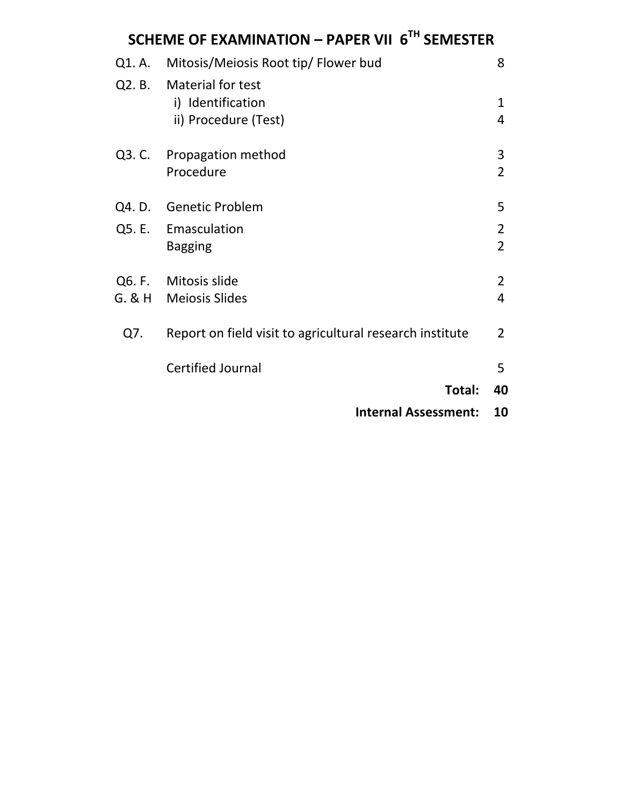| SCHEME OF EXAMINATION - PAPER VII 6TH SEMESTER |                                                                       |                     |  |
|------------------------------------------------|-----------------------------------------------------------------------|---------------------|--|
| Q1. A.                                         | Mitosis/Meiosis Root tip/ Flower bud                                  | 8                   |  |
|                                                | Q2. B. Material for test<br>i) Identification<br>ii) Procedure (Test) | 1<br>4              |  |
| Q3. C.                                         | Propagation method<br>Procedure                                       | 3<br>$\overline{2}$ |  |
|                                                | Q4. D. Genetic Problem                                                | 5                   |  |
|                                                | Q5. E. Emasculation<br><b>Bagging</b>                                 | 2<br>$\overline{2}$ |  |
|                                                | Q6. F. Mitosis slide<br>G. & H Meiosis Slides                         | 2<br>4              |  |
| Q7.                                            | Report on field visit to agricultural research institute              | 2                   |  |
|                                                | <b>Certified Journal</b>                                              | 5                   |  |
|                                                | Total:                                                                | 40                  |  |
|                                                | <b>Internal Assessment:</b>                                           | 10                  |  |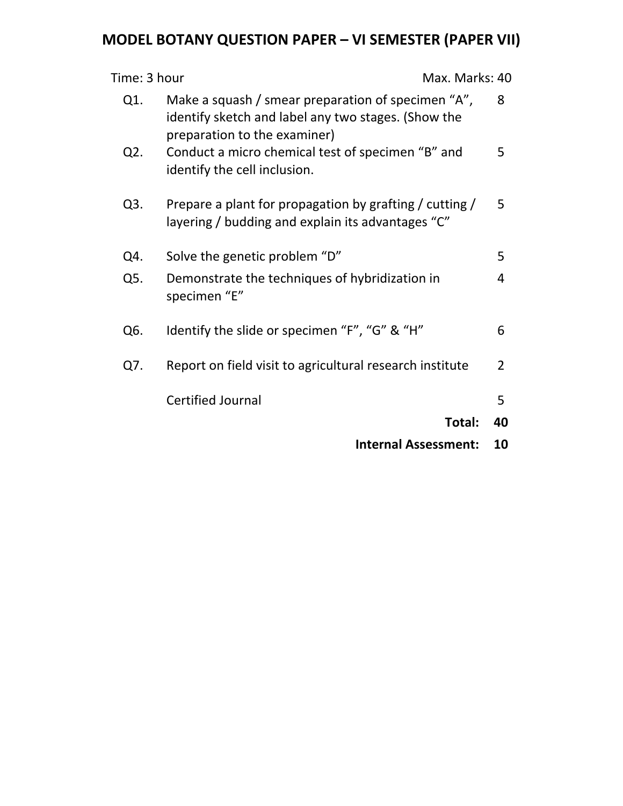# **MODEL BOTANY QUESTION PAPER – VI SEMESTER (PAPER VII)**

| Time: 3 hour<br>Max. Marks: 40 |                                                                                                                                           |                |
|--------------------------------|-------------------------------------------------------------------------------------------------------------------------------------------|----------------|
| Q1.                            | Make a squash / smear preparation of specimen "A",<br>identify sketch and label any two stages. (Show the<br>preparation to the examiner) | 8              |
| Q <sub>2</sub> .               | Conduct a micro chemical test of specimen "B" and<br>identify the cell inclusion.                                                         | 5              |
| Q3.                            | Prepare a plant for propagation by grafting / cutting /<br>layering / budding and explain its advantages "C"                              | 5              |
| Q4.                            | Solve the genetic problem "D"                                                                                                             | 5              |
| Q5.                            | Demonstrate the techniques of hybridization in<br>specimen "E"                                                                            | 4              |
| Q6.                            | Identify the slide or specimen "F", "G" & "H"                                                                                             | 6              |
| Q7.                            | Report on field visit to agricultural research institute                                                                                  | $\overline{2}$ |
|                                | <b>Certified Journal</b>                                                                                                                  | 5              |
|                                | Total:                                                                                                                                    | 40             |
|                                | <b>Internal Assessment:</b>                                                                                                               | 10             |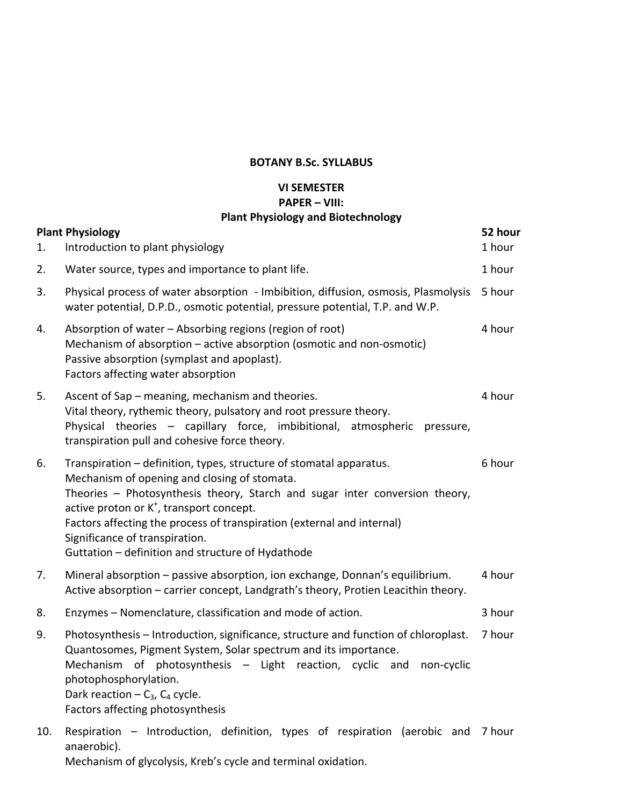# **VI SEMESTER PAPER – VIII:**

# **Plant Physiology and Biotechnology**

| 1.  | <b>Plant Physiology</b><br>Introduction to plant physiology                                                                                                                                                                                                                                                                                                                                                                 | 52 hour<br>1 hour |
|-----|-----------------------------------------------------------------------------------------------------------------------------------------------------------------------------------------------------------------------------------------------------------------------------------------------------------------------------------------------------------------------------------------------------------------------------|-------------------|
| 2.  | Water source, types and importance to plant life.                                                                                                                                                                                                                                                                                                                                                                           | 1 hour            |
| 3.  | Physical process of water absorption - Imbibition, diffusion, osmosis, Plasmolysis<br>water potential, D.P.D., osmotic potential, pressure potential, T.P. and W.P.                                                                                                                                                                                                                                                         | 5 hour            |
| 4.  | Absorption of water - Absorbing regions (region of root)<br>Mechanism of absorption - active absorption (osmotic and non-osmotic)<br>Passive absorption (symplast and apoplast).<br>Factors affecting water absorption                                                                                                                                                                                                      | 4 hour            |
| 5.  | Ascent of Sap - meaning, mechanism and theories.<br>Vital theory, rythemic theory, pulsatory and root pressure theory.<br>Physical theories - capillary force, imbibitional, atmospheric<br>pressure,<br>transpiration pull and cohesive force theory.                                                                                                                                                                      | 4 hour            |
| 6.  | Transpiration - definition, types, structure of stomatal apparatus.<br>Mechanism of opening and closing of stomata.<br>Theories - Photosynthesis theory, Starch and sugar inter conversion theory,<br>active proton or K <sup>+</sup> , transport concept.<br>Factors affecting the process of transpiration (external and internal)<br>Significance of transpiration.<br>Guttation - definition and structure of Hydathode | 6 hour            |
| 7.  | Mineral absorption - passive absorption, ion exchange, Donnan's equilibrium.<br>Active absorption - carrier concept, Landgrath's theory, Protien Leacithin theory.                                                                                                                                                                                                                                                          | 4 hour            |
| 8.  | Enzymes - Nomenclature, classification and mode of action.                                                                                                                                                                                                                                                                                                                                                                  | 3 hour            |
| 9.  | Photosynthesis - Introduction, significance, structure and function of chloroplast.<br>Quantosomes, Pigment System, Solar spectrum and its importance.<br>Mechanism of photosynthesis - Light reaction, cyclic and<br>non-cyclic<br>photophosphorylation.<br>Dark reaction $-C_3$ , $C_4$ cycle.<br>Factors affecting photosynthesis                                                                                        | 7 hour            |
| 10. | Respiration - Introduction, definition, types of respiration (aerobic and<br>anaerobic).                                                                                                                                                                                                                                                                                                                                    | 7 hour            |

Mechanism of glycolysis, Kreb's cycle and terminal oxidation.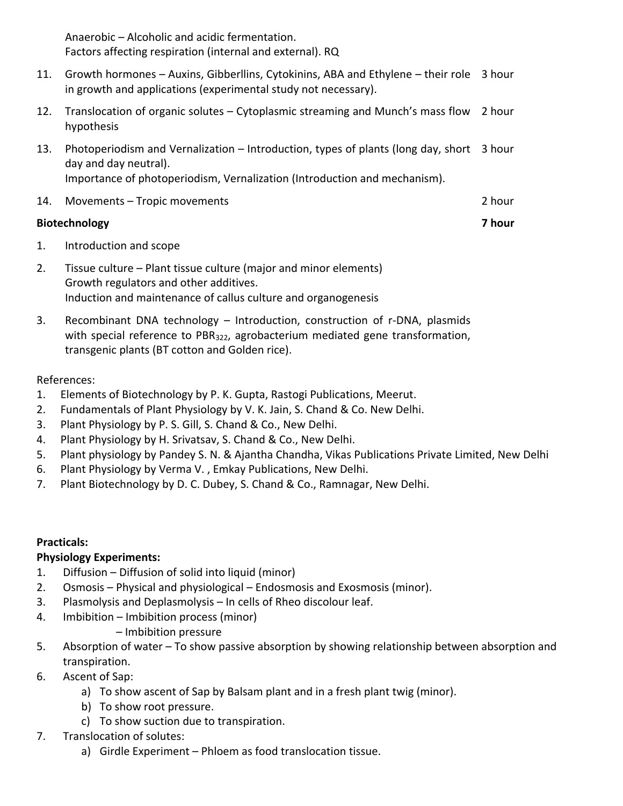Anaerobic – Alcoholic and acidic fermentation. Factors affecting respiration (internal and external). RQ

- 11. Growth hormones Auxins, Gibberllins, Cytokinins, ABA and Ethylene their role 3 hour in growth and applications (experimental study not necessary).
- 12. Translocation of organic solutes Cytoplasmic streaming and Munch's mass flow 2 hour hypothesis
- 13. Photoperiodism and Vernalization Introduction, types of plants (long day, short 3 hour day and day neutral). Importance of photoperiodism, Vernalization (Introduction and mechanism).
- 14. Movements Tropic movements 2 hour

# **Biotechnology 7 hour**

- 1. Introduction and scope
- 2. Tissue culture Plant tissue culture (major and minor elements) Growth regulators and other additives. Induction and maintenance of callus culture and organogenesis
- 3. Recombinant DNA technology Introduction, construction of r-DNA, plasmids with special reference to PBR322, agrobacterium mediated gene transformation, transgenic plants (BT cotton and Golden rice).

# References:

- 1. Elements of Biotechnology by P. K. Gupta, Rastogi Publications, Meerut.
- 2. Fundamentals of Plant Physiology by V. K. Jain, S. Chand & Co. New Delhi.
- 3. Plant Physiology by P. S. Gill, S. Chand & Co., New Delhi.
- 4. Plant Physiology by H. Srivatsav, S. Chand & Co., New Delhi.
- 5. Plant physiology by Pandey S. N. & Ajantha Chandha, Vikas Publications Private Limited, New Delhi
- 6. Plant Physiology by Verma V. , Emkay Publications, New Delhi.
- 7. Plant Biotechnology by D. C. Dubey, S. Chand & Co., Ramnagar, New Delhi.

# **Practicals:**

# **Physiology Experiments:**

- 1. Diffusion Diffusion of solid into liquid (minor)
- 2. Osmosis Physical and physiological Endosmosis and Exosmosis (minor).
- 3. Plasmolysis and Deplasmolysis In cells of Rheo discolour leaf.
- 4. Imbibition Imbibition process (minor)
	- Imbibition pressure
- 5. Absorption of water To show passive absorption by showing relationship between absorption and transpiration.
- 6. Ascent of Sap:
	- a) To show ascent of Sap by Balsam plant and in a fresh plant twig (minor).
	- b) To show root pressure.
	- c) To show suction due to transpiration.
- 7. Translocation of solutes:
	- a) Girdle Experiment Phloem as food translocation tissue.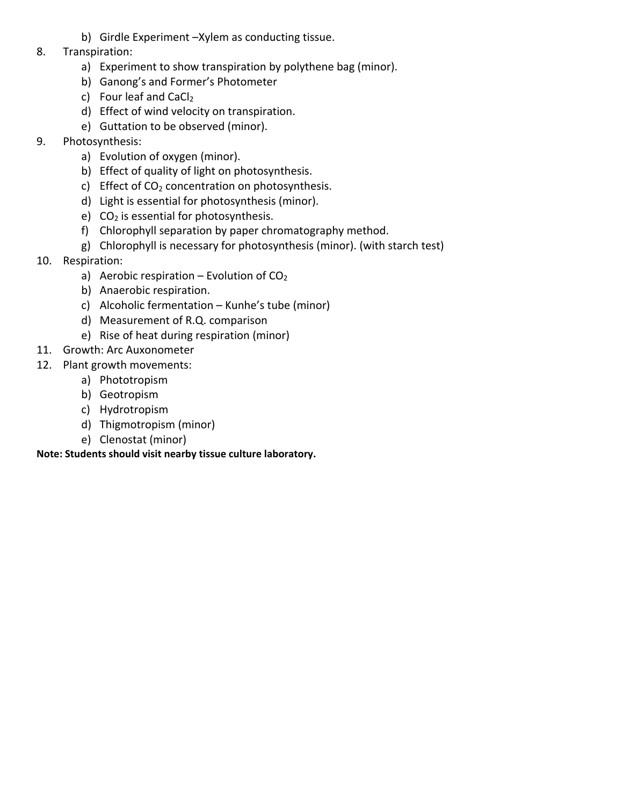- b) Girdle Experiment –Xylem as conducting tissue.
- 8. Transpiration:
	- a) Experiment to show transpiration by polythene bag (minor).
	- b) Ganong's and Former's Photometer
	- c) Four leaf and CaCl<sub>2</sub>
	- d) Effect of wind velocity on transpiration.
	- e) Guttation to be observed (minor).
- 9. Photosynthesis:
	- a) Evolution of oxygen (minor).
	- b) Effect of quality of light on photosynthesis.
	- c) Effect of  $CO<sub>2</sub>$  concentration on photosynthesis.
	- d) Light is essential for photosynthesis (minor).
	- e)  $CO<sub>2</sub>$  is essential for photosynthesis.
	- f) Chlorophyll separation by paper chromatography method.
	- g) Chlorophyll is necessary for photosynthesis (minor). (with starch test)
- 10. Respiration:
	- a) Aerobic respiration Evolution of  $CO<sub>2</sub>$
	- b) Anaerobic respiration.
	- c) Alcoholic fermentation Kunhe's tube (minor)
	- d) Measurement of R.Q. comparison
	- e) Rise of heat during respiration (minor)
- 11. Growth: Arc Auxonometer
- 12. Plant growth movements:
	- a) Phototropism
	- b) Geotropism
	- c) Hydrotropism
	- d) Thigmotropism (minor)
	- e) Clenostat (minor)

# **Note: Students should visit nearby tissue culture laboratory.**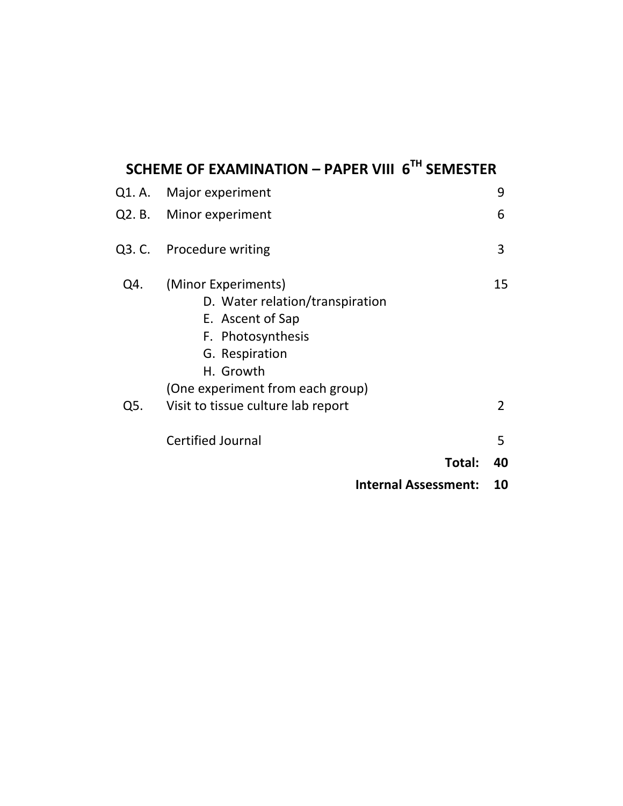# **SCHEME OF EXAMINATION – PAPER VIII 6TH SEMESTER**

|     | Q1. A. Major experiment                                                                                                                                            | 9  |
|-----|--------------------------------------------------------------------------------------------------------------------------------------------------------------------|----|
|     | Q2. B. Minor experiment                                                                                                                                            | 6  |
|     | Q3. C. Procedure writing                                                                                                                                           | 3  |
| Q4. | (Minor Experiments)<br>D. Water relation/transpiration<br>E. Ascent of Sap<br>F. Photosynthesis<br>G. Respiration<br>H. Growth<br>(One experiment from each group) | 15 |
| Q5. | Visit to tissue culture lab report                                                                                                                                 | 2  |
|     | <b>Certified Journal</b>                                                                                                                                           | 5  |
|     | Total:                                                                                                                                                             | 40 |
|     | <b>Internal Assessment:</b>                                                                                                                                        | 10 |